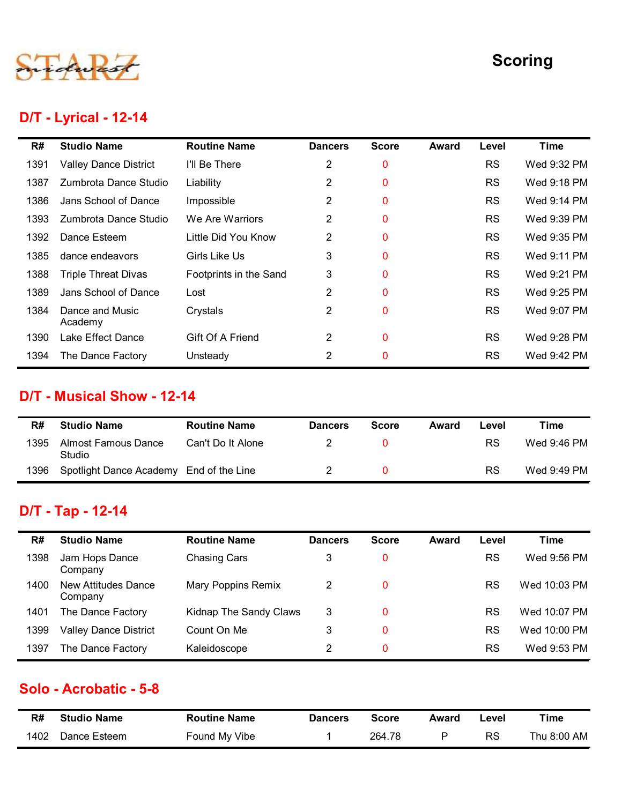

#### D/T - Lyrical - 12-14

|      |                                         |                        |                         |              |              |           | <b>Scoring</b> |
|------|-----------------------------------------|------------------------|-------------------------|--------------|--------------|-----------|----------------|
|      | <b>D/T - Lyrical - 12-14</b>            |                        |                         |              |              |           |                |
| R#   | <b>Studio Name</b>                      | <b>Routine Name</b>    | <b>Dancers</b>          | <b>Score</b> | <b>Award</b> | Level     | <b>Time</b>    |
| 1391 | <b>Valley Dance District</b>            | I'll Be There          | $\overline{2}$          | 0            |              | <b>RS</b> | Wed 9:32 PM    |
| 1387 | Zumbrota Dance Studio                   | Liability              | 2                       | 0            |              | <b>RS</b> | Wed 9:18 PM    |
| 1386 | Jans School of Dance                    | Impossible             | $\overline{2}$          | $\mathbf 0$  |              | <b>RS</b> | Wed 9:14 PM    |
| 1393 | Zumbrota Dance Studio                   | We Are Warriors        | $\overline{2}$          | 0            |              | <b>RS</b> | Wed 9:39 PM    |
| 1392 | Dance Esteem                            | Little Did You Know    | $\overline{2}$          | $\mathbf 0$  |              | <b>RS</b> | Wed 9:35 PM    |
| 1385 | dance endeavors                         | Girls Like Us          | 3                       | 0            |              | <b>RS</b> | Wed 9:11 PM    |
| 1388 | <b>Triple Threat Divas</b>              | Footprints in the Sand | 3                       | $\mathbf 0$  |              | <b>RS</b> | Wed 9:21 PM    |
| 1389 | Jans School of Dance                    | Lost                   | $\overline{2}$          | 0            |              | <b>RS</b> | Wed 9:25 PM    |
| 1384 | Dance and Music<br>Academy              | Crystals               | $\overline{2}$          | 0            |              | <b>RS</b> | Wed 9:07 PM    |
|      | 1390 Lake Effect Dance                  | Gift Of A Friend       | $\overline{\mathbf{c}}$ | $\mathbf 0$  |              | <b>RS</b> | Wed 9:28 PM    |
| 1394 | The Dance Factory                       | Unsteady               | $\overline{2}$          | $\mathbf 0$  |              | <b>RS</b> | Wed 9:42 PM    |
|      | D/T - Musical Show - 12-14              |                        |                         |              |              |           |                |
| R#   | <b>Studio Name</b>                      | <b>Routine Name</b>    | <b>Dancers</b>          | <b>Score</b> | <b>Award</b> | Level     | <b>Time</b>    |
| 1395 | <b>Almost Famous Dance</b><br>Studio    | Can't Do It Alone      | 2                       | $\mathbf 0$  |              | <b>RS</b> | Wed 9:46 PM    |
| 1396 | Spotlight Dance Academy End of the Line |                        | $\overline{2}$          | $\mathbf 0$  |              | <b>RS</b> | Wed 9:49 PM    |
|      | D/T - Tap - 12-14                       |                        |                         |              |              |           |                |
| R#   | <b>Studio Name</b>                      | <b>Routine Name</b>    | <b>Dancers</b>          | <b>Score</b> | <b>Award</b> | Level     | <b>Time</b>    |
| 1398 | Jam Hops Dance<br>Company               | <b>Chasing Cars</b>    | 3                       | $\bf{0}$     |              | <b>RS</b> | Wed 9:56 PM    |
|      | New Attitudes Dance                     | Mary Poppins Remix     | $\overline{2}$          | $\mathbf 0$  |              | <b>RS</b> | Wed 10:03 PM   |

#### D/T - Musical Show - 12-14

| R#   | <b>Studio Name</b>                      | <b>Routine Name</b> | <b>Dancers</b> | <b>Score</b> | Award | Level | Time        |
|------|-----------------------------------------|---------------------|----------------|--------------|-------|-------|-------------|
| 1395 | Almost Famous Dance<br>Studio           | Can't Do It Alone   |                | 0.           |       | RS    | Wed 9:46 PM |
| 1396 | Spotlight Dance Academy End of the Line |                     |                | 0.           |       | RS    | Wed 9:49 PM |

## D/T - Tap - 12-14

| າວ໐ລ | Jans Scribol of Dance                   | LUSL                      | ∠                | v            |              | כא        | <b>VVEG 9.20 PIVI</b>       |
|------|-----------------------------------------|---------------------------|------------------|--------------|--------------|-----------|-----------------------------|
| 1384 | Dance and Music<br>Academy              | Crystals                  | $\overline{2}$   | 0            |              | <b>RS</b> | Wed 9:07 PM                 |
| 1390 | Lake Effect Dance                       | Gift Of A Friend          | $\overline{2}$   | 0            |              | <b>RS</b> | Wed 9:28 PM                 |
| 1394 | The Dance Factory                       | Unsteady                  | $\overline{2}$   | 0            |              | <b>RS</b> | Wed 9:42 PM                 |
|      | D/T - Musical Show - 12-14              |                           |                  |              |              |           |                             |
| R#   | <b>Studio Name</b>                      | <b>Routine Name</b>       | <b>Dancers</b>   | <b>Score</b> | Award        | Level     | <b>Time</b>                 |
| 1395 | <b>Almost Famous Dance</b><br>Studio    | Can't Do It Alone         | $\boldsymbol{2}$ | 0            |              | <b>RS</b> | Wed 9:46 PM                 |
| 1396 | Spotlight Dance Academy End of the Line |                           | $\overline{2}$   | $\pmb{0}$    |              | <b>RS</b> | Wed 9:49 PM                 |
|      | D/T - Tap - 12-14                       |                           |                  |              |              |           |                             |
|      |                                         |                           |                  |              |              |           |                             |
| R#   | <b>Studio Name</b>                      | <b>Routine Name</b>       | <b>Dancers</b>   | <b>Score</b> | <b>Award</b> | Level     | <b>Time</b>                 |
| 1398 | Jam Hops Dance<br>Company               | <b>Chasing Cars</b>       | 3                | 0            |              | <b>RS</b> |                             |
| 1400 | <b>New Attitudes Dance</b><br>Company   | <b>Mary Poppins Remix</b> | $\overline{2}$   | 0            |              | <b>RS</b> | Wed 9:56 PM<br>Wed 10:03 PM |
| 1401 | The Dance Factory                       | Kidnap The Sandy Claws    | 3                | $\mathbf 0$  |              | <b>RS</b> | Wed 10:07 PM                |
| 1399 | <b>Valley Dance District</b>            | Count On Me               | 3                | 0            |              | <b>RS</b> | Wed 10:00 PM                |
| 1397 | The Dance Factory                       | Kaleidoscope              | $\overline{2}$   | 0            |              | <b>RS</b> | Wed 9:53 PM                 |
|      | Solo - Acrobatic - 5-8                  |                           |                  |              |              |           |                             |
| R#   | <b>Studio Name</b>                      | <b>Routine Name</b>       | <b>Dancers</b>   | <b>Score</b> | Award        | Level     | <b>Time</b>                 |

#### Solo - Acrobatic - 5-8

| R#   | <b>Studio Name</b> | <b>Routine Name</b> | <b>Dancers</b> | Score  | Award | Level | Time        |
|------|--------------------|---------------------|----------------|--------|-------|-------|-------------|
| 1402 | Dance Esteem       | Found My Vibe       |                | 264.78 |       | RS    | Thu 8:00 AM |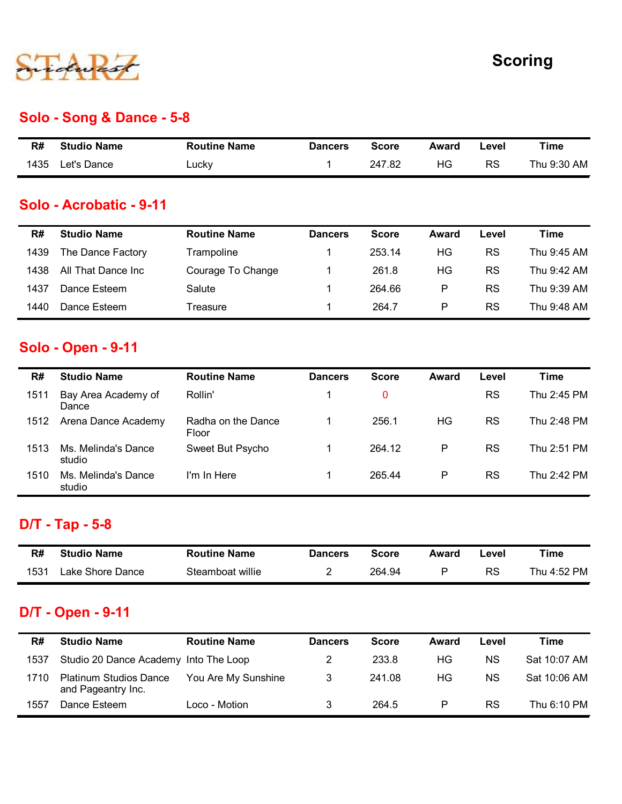

#### Solo - Song & Dance - 5-8

|      |                           |                     |                |              |       |       | <b>Scoring</b> |
|------|---------------------------|---------------------|----------------|--------------|-------|-------|----------------|
|      |                           |                     |                |              |       |       |                |
|      | Solo - Song & Dance - 5-8 |                     |                |              |       |       |                |
| R#   | <b>Studio Name</b>        | <b>Routine Name</b> | <b>Dancers</b> | <b>Score</b> | Award | Level | <b>Time</b>    |
| 1435 | Let's Dance               | Lucky               | $\mathbf 1$    | 247.82       | HG    | RS    | Thu 9:30 AM    |
|      | Solo - Acrobatic - 9-11   |                     |                |              |       |       |                |
|      |                           |                     |                |              |       |       |                |

#### Solo - Acrobatic - 9-11

|      |                                               |                             |                | <b>Scoring</b> |              |           |             |
|------|-----------------------------------------------|-----------------------------|----------------|----------------|--------------|-----------|-------------|
|      | Solo - Song & Dance - 5-8                     |                             |                |                |              |           |             |
| R#   | <b>Studio Name</b>                            | <b>Routine Name</b>         | <b>Dancers</b> | <b>Score</b>   | Award        | Level     | <b>Time</b> |
| 1435 | Let's Dance                                   | Lucky                       | $\mathbf 1$    | 247.82         | HG           | <b>RS</b> | Thu 9:30 AM |
| R#   | Solo - Acrobatic - 9-11<br><b>Studio Name</b> | <b>Routine Name</b>         | <b>Dancers</b> | <b>Score</b>   | Award        | Level     | <b>Time</b> |
| 1439 | The Dance Factory                             | Trampoline                  | $\mathbf 1$    | 253.14         | HG           | RS        | Thu 9:45 AM |
| 1438 | All That Dance Inc                            | Courage To Change           | $\mathbf{1}$   | 261.8          | HG           | <b>RS</b> | Thu 9:42 AM |
| 1437 | Dance Esteem                                  | Salute                      | $\mathbf{1}$   | 264.66         | $\mathsf{P}$ | <b>RS</b> | Thu 9:39 AM |
| 1440 | Dance Esteem                                  | Treasure                    | $\mathbf{1}$   | 264.7          | $\mathsf{P}$ | <b>RS</b> | Thu 9:48 AM |
|      | <b>Solo - Open - 9-11</b>                     |                             |                |                |              |           |             |
| R#   | <b>Studio Name</b>                            | <b>Routine Name</b>         | <b>Dancers</b> | <b>Score</b>   | Award        | Level     | <b>Time</b> |
| 1511 | Bay Area Academy of<br>Dance                  | Rollin'                     | $\mathbf 1$    | $\pmb{0}$      |              | <b>RS</b> | Thu 2:45 PM |
| 1512 | Arena Dance Academy                           | Radha on the Dance<br>Floor | $\mathbf{1}$   | 256.1          | HG           | <b>RS</b> | Thu 2:48 PM |

#### Solo - Open - 9-11

| R#   | <b>Studio Name</b>                                  | <b>Routine Name</b>         | <b>Dancers</b> | <b>Score</b> | Award        | Level     | <b>Time</b>  |
|------|-----------------------------------------------------|-----------------------------|----------------|--------------|--------------|-----------|--------------|
| 1435 | Let's Dance                                         | Lucky                       | 1              | 247.82       | HG           | <b>RS</b> | Thu 9:30 AM  |
|      | Solo - Acrobatic - 9-11                             |                             |                |              |              |           |              |
|      |                                                     |                             |                |              |              |           |              |
| R#   | <b>Studio Name</b>                                  | <b>Routine Name</b>         | <b>Dancers</b> | <b>Score</b> | <b>Award</b> | Level     | <b>Time</b>  |
| 1439 | The Dance Factory                                   | Trampoline                  | 1              | 253.14       | HG           | <b>RS</b> | Thu 9:45 AM  |
| 1438 | All That Dance Inc                                  | Courage To Change           | 1              | 261.8        | HG           | <b>RS</b> | Thu 9:42 AM  |
| 1437 | Dance Esteem                                        | Salute                      | 1              | 264.66       | P            | <b>RS</b> | Thu 9:39 AM  |
| 1440 | Dance Esteem                                        | Treasure                    | 1              | 264.7        | P            | <b>RS</b> | Thu 9:48 AM  |
|      | <b>Solo - Open - 9-11</b>                           |                             |                |              |              |           |              |
|      |                                                     |                             |                |              |              |           |              |
| R#   | <b>Studio Name</b>                                  | <b>Routine Name</b>         | <b>Dancers</b> | <b>Score</b> | Award        | Level     | <b>Time</b>  |
| 1511 | Bay Area Academy of<br>Dance                        | Rollin'                     | 1              | 0            |              | <b>RS</b> | Thu 2:45 PM  |
| 1512 | Arena Dance Academy                                 | Radha on the Dance<br>Floor | 1              | 256.1        | HG           | <b>RS</b> | Thu 2:48 PM  |
| 1513 | Ms. Melinda's Dance<br>studio                       | Sweet But Psycho            | $\mathbf{1}$   | 264.12       | P            | <b>RS</b> | Thu 2:51 PM  |
| 1510 | Ms. Melinda's Dance<br>studio                       | I'm In Here                 | $\mathbf 1$    | 265.44       | P            | <b>RS</b> | Thu 2:42 PM  |
|      |                                                     |                             |                |              |              |           |              |
|      | D/T - Tap - 5-8                                     |                             |                |              |              |           |              |
| R#   | <b>Studio Name</b>                                  | <b>Routine Name</b>         | <b>Dancers</b> | <b>Score</b> | Award        | Level     | <b>Time</b>  |
| 1531 | Lake Shore Dance                                    | Steamboat willie            | $\overline{2}$ | 264.94       | P            | <b>RS</b> | Thu 4:52 PM  |
|      |                                                     |                             |                |              |              |           |              |
|      | D/T - Open - 9-11                                   |                             |                |              |              |           |              |
| R#   | <b>Studio Name</b>                                  | <b>Routine Name</b>         | <b>Dancers</b> | <b>Score</b> | Award        | Level     | <b>Time</b>  |
| 1537 | Studio 20 Dance Academy Into The Loop               |                             | $\overline{2}$ | 233.8        | HG           | <b>NS</b> | Sat 10:07 AM |
| 1710 | <b>Platinum Studios Dance</b><br>and Pageantry Inc. | You Are My Sunshine         | 3              | 241.08       | HG           | <b>NS</b> | Sat 10:06 AM |
| 1557 | Dance Esteem                                        | Loco - Motion               | 3              | 264.5        | P            | <b>RS</b> | Thu 6:10 PM  |

## D/T - Tap - 5-8

| R#   | Studio Name                      | <b>Routine Name</b> | <b>Dancers</b> | <b>Score</b> | Award | ∟evel | Time        |
|------|----------------------------------|---------------------|----------------|--------------|-------|-------|-------------|
| 1531 | ' <sub>-</sub> ake Shore Dance ' | Steamboat willie    |                | 264.94       |       | RS    | Thu 4:52 PM |

#### D/T - Open - 9-11

| 1512 | Arena Dance Academy                                 | Radha on the Dance<br>Floor |                | 256.1        | HG           | <b>RS</b> | Thu 2:48 PM  |
|------|-----------------------------------------------------|-----------------------------|----------------|--------------|--------------|-----------|--------------|
| 1513 | Ms. Melinda's Dance<br>studio                       | Sweet But Psycho            | $\mathbf 1$    | 264.12       | P            | <b>RS</b> | Thu 2:51 PM  |
| 1510 | Ms. Melinda's Dance<br>studio                       | I'm In Here                 |                | 265.44       | $\sf P$      | RS        | Thu 2:42 PM  |
|      | <b>D/T - Tap - 5-8</b>                              |                             |                |              |              |           |              |
|      |                                                     |                             |                |              |              | Level     | <b>Time</b>  |
| R#   | <b>Studio Name</b>                                  | <b>Routine Name</b>         | <b>Dancers</b> | <b>Score</b> | <b>Award</b> |           |              |
| 1531 | Lake Shore Dance                                    | Steamboat willie            | $\overline{2}$ | 264.94       | P            | <b>RS</b> | Thu 4:52 PM  |
|      | <b>D/T - Open - 9-11</b>                            |                             |                |              |              |           |              |
| R#   | <b>Studio Name</b>                                  | <b>Routine Name</b>         | <b>Dancers</b> | <b>Score</b> | <b>Award</b> | Level     | <b>Time</b>  |
| 1537 | Studio 20 Dance Academy                             | Into The Loop               | $\overline{2}$ | 233.8        | HG           | <b>NS</b> | Sat 10:07 AM |
| 1710 | <b>Platinum Studios Dance</b><br>and Pageantry Inc. | You Are My Sunshine         | 3              | 241.08       | HG           | <b>NS</b> | Sat 10:06 AM |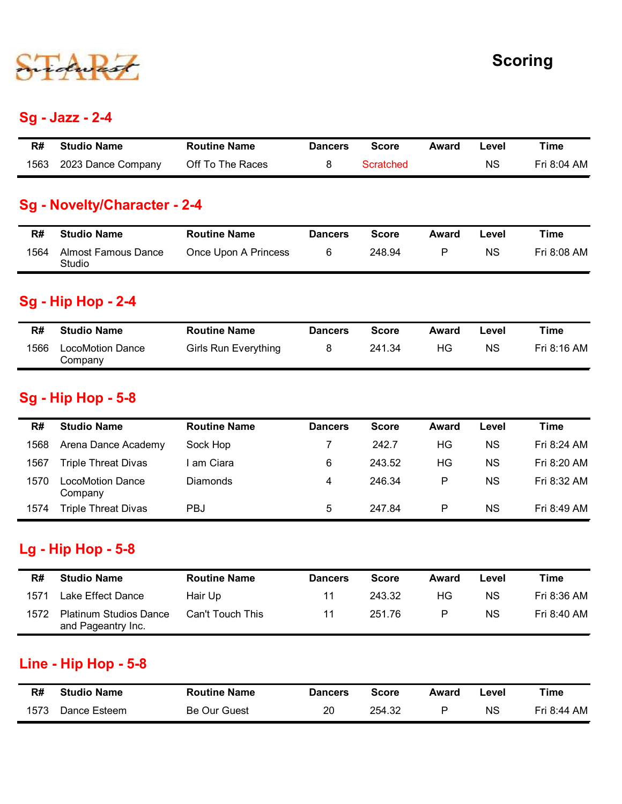

#### Sg - Jazz - 2-4

| <b>Scoring</b><br><b>Sg - Jazz - 2-4</b><br><b>Time</b><br><b>Studio Name</b><br><b>Routine Name</b><br>R#<br><b>Dancers</b><br><b>Score</b><br>Award<br>Level<br>2023 Dance Company<br>Off To The Races<br>Scratched<br><b>NS</b><br>Fri 8:04 AM<br>1563<br>8<br>Sg - Novelty/Character - 2-4 |  |  |  |  |
|------------------------------------------------------------------------------------------------------------------------------------------------------------------------------------------------------------------------------------------------------------------------------------------------|--|--|--|--|
|                                                                                                                                                                                                                                                                                                |  |  |  |  |
|                                                                                                                                                                                                                                                                                                |  |  |  |  |
|                                                                                                                                                                                                                                                                                                |  |  |  |  |
|                                                                                                                                                                                                                                                                                                |  |  |  |  |
|                                                                                                                                                                                                                                                                                                |  |  |  |  |
|                                                                                                                                                                                                                                                                                                |  |  |  |  |
|                                                                                                                                                                                                                                                                                                |  |  |  |  |
|                                                                                                                                                                                                                                                                                                |  |  |  |  |
|                                                                                                                                                                                                                                                                                                |  |  |  |  |
|                                                                                                                                                                                                                                                                                                |  |  |  |  |
|                                                                                                                                                                                                                                                                                                |  |  |  |  |

#### Sg - Novelty/Character - 2-4

|      |                                      |                      |                |              |              |           | <b>Scoring</b> |
|------|--------------------------------------|----------------------|----------------|--------------|--------------|-----------|----------------|
|      | <b>Sg - Jazz - 2-4</b>               |                      |                |              |              |           |                |
| R#   | <b>Studio Name</b>                   | <b>Routine Name</b>  | <b>Dancers</b> | <b>Score</b> | Award        | Level     | <b>Time</b>    |
| 1563 | 2023 Dance Company                   | Off To The Races     | $\bf 8$        | Scratched    |              | <b>NS</b> | Fri 8:04 AM    |
|      |                                      |                      |                |              |              |           |                |
|      | <b>Sg - Novelty/Character - 2-4</b>  |                      |                |              |              |           |                |
| R#   | <b>Studio Name</b>                   | <b>Routine Name</b>  | <b>Dancers</b> | <b>Score</b> | Award        | Level     | <b>Time</b>    |
| 1564 | <b>Almost Famous Dance</b><br>Studio | Once Upon A Princess | 6              | 248.94       | P            | <b>NS</b> | Fri 8:08 AM    |
|      | <b>Sg - Hip Hop - 2-4</b>            |                      |                |              |              |           |                |
| R#   | <b>Studio Name</b>                   | <b>Routine Name</b>  | <b>Dancers</b> | <b>Score</b> | <b>Award</b> | Level     | <b>Time</b>    |

#### Sg - Hip Hop - 2-4

| R#   | <b>Studio Name</b>          | <b>Routine Name</b>         | <b>Dancers</b> | Score  | Award | ∟evel | Time        |
|------|-----------------------------|-----------------------------|----------------|--------|-------|-------|-------------|
| 1566 | LocoMotion Dance<br>Company | <b>Girls Run Everything</b> |                | 241.34 | ΗG    | ΝS    | Fri 8:16 AM |

#### Sg - Hip Hop - 5-8

| 1563 | 2023 Dance Company                                  | Off To The Races            | 8              | Scratched    |              | <b>NS</b> | Fri 8:04 AM |
|------|-----------------------------------------------------|-----------------------------|----------------|--------------|--------------|-----------|-------------|
|      | <b>Sg - Novelty/Character - 2-4</b>                 |                             |                |              |              |           |             |
|      |                                                     | <b>Routine Name</b>         |                |              |              |           | <b>Time</b> |
| R#   | <b>Studio Name</b>                                  |                             | <b>Dancers</b> | <b>Score</b> | <b>Award</b> | Level     |             |
| 1564 | <b>Almost Famous Dance</b><br>Studio                | Once Upon A Princess        | 6              | 248.94       | P            | <b>NS</b> | Fri 8:08 AM |
|      | <b>Sg - Hip Hop - 2-4</b>                           |                             |                |              |              |           |             |
| R#   | <b>Studio Name</b>                                  | <b>Routine Name</b>         | <b>Dancers</b> | <b>Score</b> | <b>Award</b> | Level     | <b>Time</b> |
| 1566 | <b>LocoMotion Dance</b><br>Company                  | <b>Girls Run Everything</b> | 8              | 241.34       | HG           | <b>NS</b> | Fri 8:16 AM |
|      | <b>Sg - Hip Hop - 5-8</b>                           |                             |                |              |              |           |             |
| R#   | <b>Studio Name</b>                                  | <b>Routine Name</b>         | <b>Dancers</b> | <b>Score</b> | <b>Award</b> | Level     | <b>Time</b> |
| 1568 | Arena Dance Academy                                 | Sock Hop                    | $\overline{7}$ | 242.7        | HG           | <b>NS</b> | Fri 8:24 AM |
| 1567 | <b>Triple Threat Divas</b>                          | I am Ciara                  | 6              | 243.52       | HG           | <b>NS</b> | Fri 8:20 AM |
| 1570 | LocoMotion Dance<br>Company                         | Diamonds                    | 4              | 246.34       | P            | <b>NS</b> | Fri 8:32 AM |
| 1574 | <b>Triple Threat Divas</b>                          | PBJ                         | 5              | 247.84       | P            | <b>NS</b> | Fri 8:49 AM |
|      | <b>Lg - Hip Hop - 5-8</b>                           |                             |                |              |              |           |             |
| R#   | <b>Studio Name</b>                                  | <b>Routine Name</b>         | <b>Dancers</b> | <b>Score</b> | <b>Award</b> | Level     | <b>Time</b> |
| 1571 | Lake Effect Dance                                   | Hair Up                     | 11             | 243.32       | HG           | <b>NS</b> | Fri 8:36 AM |
| 1572 | <b>Platinum Studios Dance</b><br>and Pageantry Inc. | Can't Touch This            | 11             | 251.76       | P            | <b>NS</b> | Fri 8:40 AM |
|      | Line - Hip Hop - 5-8                                |                             |                |              |              |           |             |
|      |                                                     |                             |                |              |              | Level     | <b>Time</b> |
| R#   | <b>Studio Name</b>                                  | <b>Routine Name</b>         | <b>Dancers</b> | <b>Score</b> | <b>Award</b> |           |             |

#### Lg - Hip Hop - 5-8

| R#   | <b>Studio Name</b>                                  | <b>Routine Name</b> | <b>Dancers</b> | <b>Score</b> | Award | Level     | Time        |
|------|-----------------------------------------------------|---------------------|----------------|--------------|-------|-----------|-------------|
| 1571 | Lake Effect Dance                                   | Hair Up             | 11             | 243.32       | ΗG    | <b>NS</b> | Fri 8:36 AM |
| 1572 | <b>Platinum Studios Dance</b><br>and Pageantry Inc. | Can't Touch This    | 11             | 251.76       | P     | <b>NS</b> | Fri 8:40 AM |

#### Line - Hip Hop - 5-8

| R#   | <b>Studio Name</b> | <b>Routine Name</b> | <b>Dancers</b> | <b>Score</b> | Award | -evel     | Time        |
|------|--------------------|---------------------|----------------|--------------|-------|-----------|-------------|
| 1573 | Dance Esteem.      | <b>Be Our Guest</b> | 20             | 254.32       |       | <b>NS</b> | Fri 8:44 AM |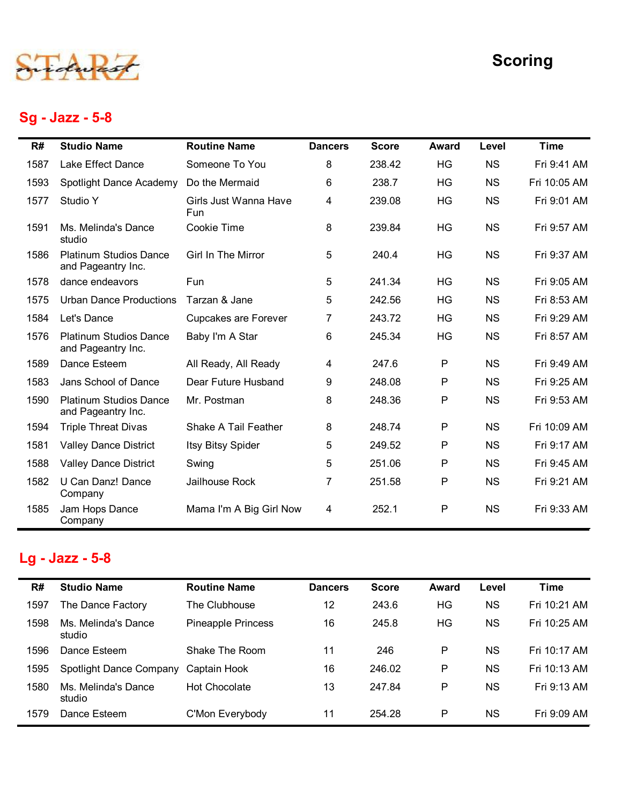## Sg - Jazz - 5-8

|      |                                                     |                              |                |              |              |           | <b>Scoring</b> |
|------|-----------------------------------------------------|------------------------------|----------------|--------------|--------------|-----------|----------------|
| R#   | Sg - Jazz - 5-8<br><b>Studio Name</b>               | <b>Routine Name</b>          | <b>Dancers</b> | <b>Score</b> | <b>Award</b> | Level     | <b>Time</b>    |
| 1587 | Lake Effect Dance                                   | Someone To You               | 8              | 238.42       | HG           | <b>NS</b> | Fri 9:41 AM    |
| 1593 | Spotlight Dance Academy                             | Do the Mermaid               | 6              | 238.7        | HG           | <b>NS</b> | Fri 10:05 AM   |
| 1577 | Studio Y                                            | Girls Just Wanna Have<br>Fun | 4              | 239.08       | HG           | <b>NS</b> | Fri 9:01 AM    |
| 1591 | Ms. Melinda's Dance<br>studio                       | Cookie Time                  | 8              | 239.84       | HG           | <b>NS</b> | Fri 9:57 AM    |
| 1586 | <b>Platinum Studios Dance</b><br>and Pageantry Inc. | Girl In The Mirror           | 5              | 240.4        | HG           | <b>NS</b> | Fri 9:37 AM    |
| 1578 | dance endeavors                                     | Fun                          | 5              | 241.34       | HG           | <b>NS</b> | Fri 9:05 AM    |
| 1575 | <b>Urban Dance Productions</b>                      | Tarzan & Jane                | 5              | 242.56       | HG           | <b>NS</b> | Fri 8:53 AM    |
| 1584 | Let's Dance                                         | Cupcakes are Forever         | 7              | 243.72       | HG           | <b>NS</b> | Fri 9:29 AM    |
|      | 1576 Platinum Studios Dance<br>and Pageantry Inc.   | Baby I'm A Star              | 6              | 245.34       | HG           | <b>NS</b> | Fri 8:57 AM    |
| 1589 | Dance Esteem                                        | All Ready, All Ready         | 4              | 247.6        | P            | <b>NS</b> | Fri 9:49 AM    |
| 1583 | Jans School of Dance                                | Dear Future Husband          | 9              | 248.08       | $\mathsf{P}$ | <b>NS</b> | Fri 9:25 AM    |
| 1590 | <b>Platinum Studios Dance</b><br>and Pageantry Inc. | Mr. Postman                  | 8              | 248.36       | $\mathsf{P}$ | <b>NS</b> | Fri 9:53 AM    |
| 1594 | <b>Triple Threat Divas</b>                          | Shake A Tail Feather         | 8              | 248.74       | P            | <b>NS</b> | Fri 10:09 AM   |
| 1581 | <b>Valley Dance District</b>                        | Itsy Bitsy Spider            | 5              | 249.52       | P            | <b>NS</b> | Fri 9:17 AM    |
| 1588 | <b>Valley Dance District</b>                        | Swing                        | 5              | 251.06       | P            | <b>NS</b> | Fri 9:45 AM    |
| 1582 | U Can Danz! Dance<br>Company                        | Jailhouse Rock               | 7              | 251.58       | P            | <b>NS</b> | Fri 9:21 AM    |
| 1585 | Jam Hops Dance<br>Company                           | Mama I'm A Big Girl Now      | $\overline{4}$ | 252.1        | P            | <b>NS</b> | Fri 9:33 AM    |
|      | Lg - Jazz - 5-8                                     |                              |                |              |              |           |                |
| R#   | <b>Studio Name</b>                                  | <b>Routine Name</b>          | <b>Dancers</b> | <b>Score</b> | <b>Award</b> | Level     | <b>Time</b>    |
| 1597 | The Dance Factory                                   | The Clubhouse                | 12             | 243.6        | HG           | <b>NS</b> | Fri 10:21 AM   |
| 1598 | Ms. Melinda's Dance<br>studio                       | Pineapple Princess           | 16             | 245.8        | HG           | <b>NS</b> | Fri 10:25 AM   |
| 1596 | Dance Esteem                                        | Shake The Room               | 11             | 246          | P            | <b>NS</b> | Fri 10:17 AM   |
|      | Spotlight Dance Company                             | Captain Hook                 | 16             | 246.02       | P            | <b>NS</b> | Fri 10:13 AM   |
| 1595 |                                                     |                              |                |              |              | <b>NS</b> |                |

## Lg - Jazz - 5-8

| 1590 | <b>Platinum Studios Dance</b><br>and Pageantry Inc. | Mr. Postman             | 8               | 248.36       | $\mathsf{P}$ | <b>NS</b> | Fri 9:53 AM  |
|------|-----------------------------------------------------|-------------------------|-----------------|--------------|--------------|-----------|--------------|
| 1594 | <b>Triple Threat Divas</b>                          | Shake A Tail Feather    | 8               | 248.74       | $\sf P$      | <b>NS</b> | Fri 10:09 AM |
| 1581 | <b>Valley Dance District</b>                        | Itsy Bitsy Spider       | 5               | 249.52       | P            | <b>NS</b> | Fri 9:17 AM  |
| 1588 | <b>Valley Dance District</b>                        | Swing                   | $5\phantom{.0}$ | 251.06       | P            | <b>NS</b> | Fri 9:45 AM  |
| 1582 | U Can Danz! Dance<br>Company                        | Jailhouse Rock          | 7               | 251.58       | P            | <b>NS</b> | Fri 9:21 AM  |
| 1585 | Jam Hops Dance<br>Company                           | Mama I'm A Big Girl Now | 4               | 252.1        | P            | <b>NS</b> | Fri 9:33 AM  |
|      |                                                     |                         |                 |              |              |           |              |
|      | Lg - Jazz - 5-8                                     |                         |                 |              |              |           |              |
| R#   | <b>Studio Name</b>                                  | <b>Routine Name</b>     | <b>Dancers</b>  | <b>Score</b> | <b>Award</b> | Level     | <b>Time</b>  |
| 1597 | The Dance Factory                                   | The Clubhouse           | 12              | 243.6        | HG           | <b>NS</b> | Fri 10:21 AM |
| 1598 | Ms. Melinda's Dance<br>studio                       | Pineapple Princess      | 16              | 245.8        | HG           | <b>NS</b> | Fri 10:25 AM |
| 1596 | Dance Esteem                                        | Shake The Room          | 11              | 246          | P            | <b>NS</b> | Fri 10:17 AM |
| 1595 | Spotlight Dance Company                             | Captain Hook            | 16              | 246.02       | P            | <b>NS</b> | Fri 10:13 AM |
| 1580 | Ms. Melinda's Dance<br>studio                       | Hot Chocolate           | 13              | 247.84       | P            | <b>NS</b> | Fri 9:13 AM  |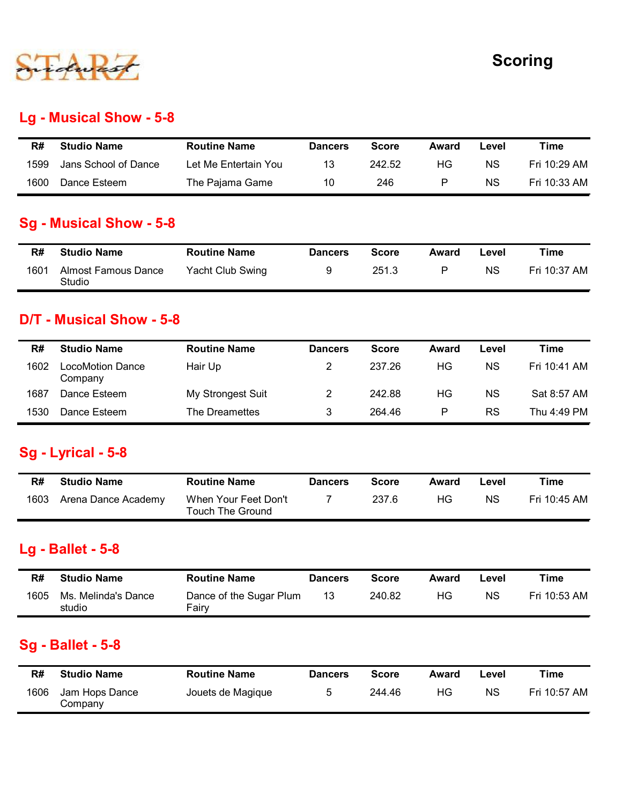

#### Lg - Musical Show - 5-8

|      |                                |                      |                |              |              |           | <b>Scoring</b> |
|------|--------------------------------|----------------------|----------------|--------------|--------------|-----------|----------------|
|      |                                |                      |                |              |              |           |                |
|      | <b>Lg - Musical Show - 5-8</b> |                      |                |              |              |           |                |
|      | <b>Studio Name</b>             | <b>Routine Name</b>  | <b>Dancers</b> | <b>Score</b> | Award        | Level     | <b>Time</b>    |
| R#   |                                |                      | 13             | 242.52       | HG           | <b>NS</b> | Fri 10:29 AM   |
| 1599 | Jans School of Dance           | Let Me Entertain You |                |              |              |           |                |
| 1600 | Dance Esteem                   | The Pajama Game      | 10             | 246          | $\mathsf{P}$ | <b>NS</b> | Fri 10:33 AM   |
|      | <b>Sg - Musical Show - 5-8</b> |                      |                |              |              |           |                |
| R#   | <b>Studio Name</b>             | <b>Routine Name</b>  | <b>Dancers</b> | <b>Score</b> | <b>Award</b> | Level     | <b>Time</b>    |

#### Sg - Musical Show - 5-8

| R#   | <b>Studio Name</b>            | <b>Routine Name</b> | <b>Dancers</b> | Score | Award | ∟evel     | τime         |
|------|-------------------------------|---------------------|----------------|-------|-------|-----------|--------------|
| 1601 | Almost Famous Dance<br>Studio | Yacht Club Swing    |                | 251.3 |       | <b>NS</b> | Fri 10:37 AM |

#### D/T - Musical Show - 5-8

| R#   | <b>Studio Name</b>                             | <b>Routine Name</b>                             | <b>Dancers</b> | <b>Score</b> | <b>Award</b> | Level     | <b>Time</b>  |
|------|------------------------------------------------|-------------------------------------------------|----------------|--------------|--------------|-----------|--------------|
| 1599 | Jans School of Dance                           | Let Me Entertain You                            | 13             | 242.52       | HG           | <b>NS</b> | Fri 10:29 AM |
| 1600 | Dance Esteem                                   | The Pajama Game                                 | 10             | 246          | P            | <b>NS</b> | Fri 10:33 AM |
|      | <b>Sg - Musical Show - 5-8</b>                 |                                                 |                |              |              |           |              |
| R#   | <b>Studio Name</b>                             | <b>Routine Name</b>                             | <b>Dancers</b> | <b>Score</b> | Award        | Level     | <b>Time</b>  |
| 1601 | <b>Almost Famous Dance</b><br>Studio           | Yacht Club Swing                                | 9              | 251.3        | $\mathsf{P}$ | <b>NS</b> | Fri 10:37 AM |
| R#   | D/T - Musical Show - 5-8<br><b>Studio Name</b> | <b>Routine Name</b>                             | <b>Dancers</b> | <b>Score</b> | Award        | Level     | <b>Time</b>  |
| 1602 | <b>LocoMotion Dance</b><br>Company             | Hair Up                                         | $\overline{2}$ | 237.26       | HG           | <b>NS</b> | Fri 10:41 AM |
| 1687 | Dance Esteem                                   | My Strongest Suit                               | $\overline{2}$ | 242.88       | HG           | <b>NS</b> | Sat 8:57 AM  |
|      | Dance Esteem                                   | The Dreamettes                                  | 3              | 264.46       | $\mathsf{P}$ | <b>RS</b> | Thu 4:49 PM  |
| 1530 |                                                |                                                 |                |              |              |           |              |
|      | Sg - Lyrical - 5-8                             |                                                 |                |              |              |           |              |
| R#   | <b>Studio Name</b>                             | <b>Routine Name</b>                             | <b>Dancers</b> | <b>Score</b> | Award        | Level     | <b>Time</b>  |
| 1603 | Arena Dance Academy                            | When Your Feet Don't<br><b>Touch The Ground</b> | $\overline{7}$ | 237.6        | HG           | <b>NS</b> | Fri 10:45 AM |
|      | <b>Lg - Ballet - 5-8</b>                       |                                                 |                |              |              |           |              |
| R#   | <b>Studio Name</b>                             | <b>Routine Name</b>                             | <b>Dancers</b> | <b>Score</b> | <b>Award</b> | Level     | <b>Time</b>  |

#### Sg - Lyrical - 5-8

| R#   | <b>Studio Name</b>  | <b>Routine Name</b>                      | <b>Dancers</b> | Score | Award | Level | Time         |
|------|---------------------|------------------------------------------|----------------|-------|-------|-------|--------------|
| 1603 | Arena Dance Academy | When Your Feet Don't<br>Touch The Ground |                | 237.6 | ΗG    | ΝS    | Fri 10:45 AM |

#### Lg - Ballet - 5-8

| R#   | <b>Studio Name</b>            | <b>Routine Name</b>              | <b>Dancers</b> | Score  | Award | Level | Time         |
|------|-------------------------------|----------------------------------|----------------|--------|-------|-------|--------------|
| 1605 | Ms. Melinda's Dance<br>studio | Dance of the Sugar Plum<br>Fairy |                | 240.82 | HG.   | ΝS    | Fri 10:53 AM |

#### Sg - Ballet - 5-8

| 1530 | Dance Esteem                                   | The Dreamettes                                  | 3              | 264.46       | P            | RS        | Thu 4:49 PM  |
|------|------------------------------------------------|-------------------------------------------------|----------------|--------------|--------------|-----------|--------------|
|      | <b>Sg - Lyrical - 5-8</b>                      |                                                 |                |              |              |           |              |
| R#   | <b>Studio Name</b>                             | <b>Routine Name</b>                             | <b>Dancers</b> | <b>Score</b> | <b>Award</b> | Level     | <b>Time</b>  |
| 1603 | Arena Dance Academy                            | When Your Feet Don't<br><b>Touch The Ground</b> | $\overline{7}$ | 237.6        | HG           | <b>NS</b> | Fri 10:45 AM |
| R#   | <b>Lg - Ballet - 5-8</b><br><b>Studio Name</b> | <b>Routine Name</b>                             | <b>Dancers</b> | <b>Score</b> | <b>Award</b> | Level     | <b>Time</b>  |
| 1605 | Ms. Melinda's Dance<br>studio                  | Dance of the Sugar Plum<br>Fairy                | 13             | 240.82       | HG           | <b>NS</b> | Fri 10:53 AM |
|      | <b>Sg - Ballet - 5-8</b>                       |                                                 |                |              |              |           |              |
| R#   | <b>Studio Name</b>                             | <b>Routine Name</b>                             | <b>Dancers</b> | <b>Score</b> | <b>Award</b> | Level     | <b>Time</b>  |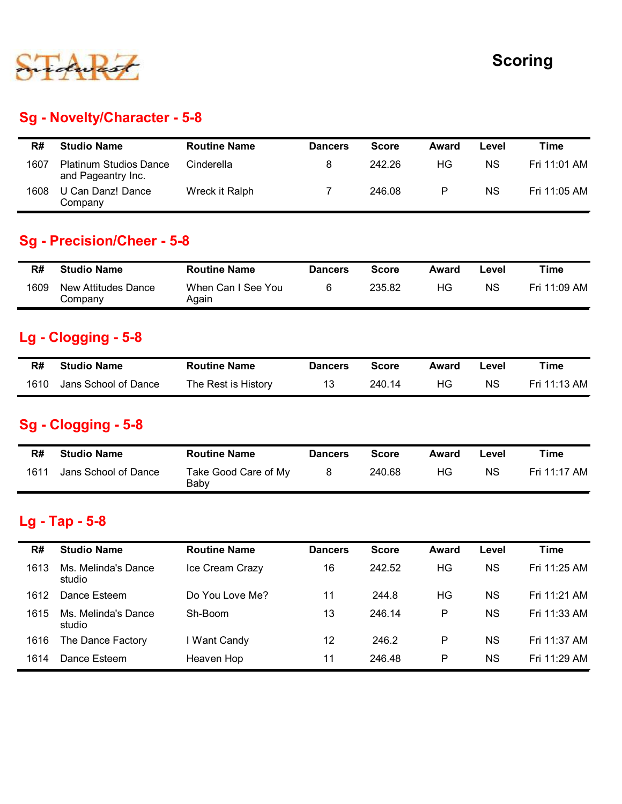

# Sg - Novelty/Character - 5-8

|      |                                                     |                             |                |              |             |           | <b>Scoring</b> |
|------|-----------------------------------------------------|-----------------------------|----------------|--------------|-------------|-----------|----------------|
|      | Sg - Novelty/Character - 5-8                        |                             |                |              |             |           |                |
| R#   | <b>Studio Name</b>                                  | <b>Routine Name</b>         | <b>Dancers</b> | <b>Score</b> | Award       | Level     | <b>Time</b>    |
| 1607 | <b>Platinum Studios Dance</b><br>and Pageantry Inc. | Cinderella                  | 8              | 242.26       | HG          | <b>NS</b> | Fri 11:01 AM   |
| 1608 | U Can Danz! Dance<br>Company                        | Wreck it Ralph              | $\overline{7}$ | 246.08       | $\mathsf P$ | <b>NS</b> | Fri 11:05 AM   |
|      |                                                     |                             |                |              |             |           |                |
|      | <b>Sg - Precision/Cheer - 5-8</b>                   |                             |                |              |             |           |                |
| R#   | <b>Studio Name</b>                                  | <b>Routine Name</b>         | <b>Dancers</b> | <b>Score</b> | Award       | Level     | <b>Time</b>    |
| 1609 | New Attitudes Dance<br>Company                      | When Can I See You<br>Again | 6              | 235.82       | HG          | <b>NS</b> | Fri 11:09 AM   |
|      | Lg - Clogging - 5-8                                 |                             |                |              |             |           |                |
| R#   | <b>Studio Name</b>                                  | <b>Routine Name</b>         | <b>Dancers</b> | <b>Score</b> | Award       | Level     | <b>Time</b>    |

#### Sg - Precision/Cheer - 5-8

|      | U Can Danz! Dance<br>Company          | Wreck it Ralph               |                | 246.08       | P            | <b>NS</b> | Fri 11:05 AM |
|------|---------------------------------------|------------------------------|----------------|--------------|--------------|-----------|--------------|
|      | <b>Sg - Precision/Cheer - 5-8</b>     |                              |                |              |              |           |              |
| R#   | <b>Studio Name</b>                    | <b>Routine Name</b>          | <b>Dancers</b> | <b>Score</b> | <b>Award</b> | Level     | <b>Time</b>  |
| 1609 | <b>New Attitudes Dance</b><br>Company | When Can I See You<br>Again  | 6              | 235.82       | HG           | <b>NS</b> | Fri 11:09 AM |
|      | Lg - Clogging - 5-8                   |                              |                |              |              |           |              |
| R#   | <b>Studio Name</b>                    | <b>Routine Name</b>          | <b>Dancers</b> | <b>Score</b> | <b>Award</b> | Level     | <b>Time</b>  |
| 1610 | Jans School of Dance                  | The Rest is History          | 13             | 240.14       | HG           | <b>NS</b> | Fri 11:13 AM |
|      | Sg - Clogging - 5-8                   |                              |                |              |              |           |              |
| R#   | <b>Studio Name</b>                    | <b>Routine Name</b>          | <b>Dancers</b> | <b>Score</b> | <b>Award</b> | Level     | <b>Time</b>  |
|      | Jans School of Dance                  | Take Good Care of My<br>Baby | 8              | 240.68       | HG           | <b>NS</b> | Fri 11:17 AM |

## Lg - Clogging - 5-8

| R#   | <b>Studio Name</b>   | <b>Routine Name</b> | <b>Dancers</b> | <b>Score</b> | Award | Level | Time         |
|------|----------------------|---------------------|----------------|--------------|-------|-------|--------------|
| 1610 | Jans School of Dance | The Rest is History |                | 240.14       | HG.   | ΝS    | Fri 11:13 AM |

## Sg - Clogging - 5-8

| R#   | <b>Studio Name</b>   | <b>Routine Name</b>          | <b>Dancers</b> | Score  | Award | ∟evel     | ™ime         |
|------|----------------------|------------------------------|----------------|--------|-------|-----------|--------------|
| 1611 | Jans School of Dance | Take Good Care of My<br>Baby |                | 240.68 | ΗG    | <b>NS</b> | Fri 11:17 AM |

#### Lg - Tap - 5-8

| 1609 | New Attitudes Dance<br>Company       | When Can I See You<br>Again  | 6              | 235.82       | HG           | NS.       | Fri 11:09 AM |
|------|--------------------------------------|------------------------------|----------------|--------------|--------------|-----------|--------------|
|      | <b>Lg - Clogging - 5-8</b>           |                              |                |              |              |           |              |
| R#   | <b>Studio Name</b>                   | <b>Routine Name</b>          | <b>Dancers</b> | <b>Score</b> | Award        | Level     | <b>Time</b>  |
| 1610 | Jans School of Dance                 | The Rest is History          | 13             | 240.14       | HG           | <b>NS</b> | Fri 11:13 AM |
|      | Sg - Clogging - 5-8                  |                              |                |              |              |           |              |
|      | <b>Studio Name</b>                   | <b>Routine Name</b>          | <b>Dancers</b> | <b>Score</b> | <b>Award</b> | Level     | <b>Time</b>  |
| R#   |                                      |                              |                |              |              |           |              |
| 1611 | Jans School of Dance                 | Take Good Care of My<br>Baby | 8              | 240.68       | HG           | <b>NS</b> | Fri 11:17 AM |
| R#   | Lg - Tap - 5-8<br><b>Studio Name</b> | <b>Routine Name</b>          | <b>Dancers</b> | <b>Score</b> | <b>Award</b> | Level     | <b>Time</b>  |
| 1613 | Ms. Melinda's Dance<br>studio        | Ice Cream Crazy              | 16             | 242.52       | HG           | <b>NS</b> | Fri 11:25 AM |
| 1612 | Dance Esteem                         | Do You Love Me?              | 11             | 244.8        | HG           | <b>NS</b> | Fri 11:21 AM |
| 1615 | Ms. Melinda's Dance<br>studio        | Sh-Boom                      | 13             | 246.14       | $\mathsf P$  | <b>NS</b> | Fri 11:33 AM |
| 1616 | The Dance Factory                    | I Want Candy                 | 12             | 246.2        | P            | <b>NS</b> | Fri 11:37 AM |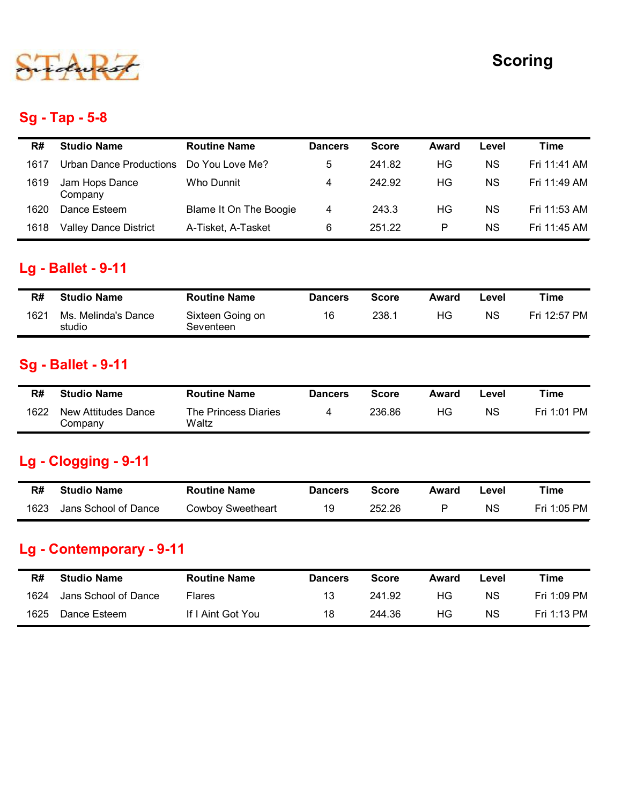

## Sg - Tap - 5-8

|      |                                |                               |                         |              |              |           | <b>Scoring</b> |
|------|--------------------------------|-------------------------------|-------------------------|--------------|--------------|-----------|----------------|
|      | <b>Sg - Tap - 5-8</b>          |                               |                         |              |              |           |                |
| R#   | <b>Studio Name</b>             | <b>Routine Name</b>           | <b>Dancers</b>          | <b>Score</b> | Award        | Level     | <b>Time</b>    |
| 1617 | <b>Urban Dance Productions</b> | Do You Love Me?               | 5                       | 241.82       | HG           | <b>NS</b> | Fri 11:41 AM   |
| 1619 | Jam Hops Dance<br>Company      | Who Dunnit                    | $\overline{\mathbf{4}}$ | 242.92       | HG           | <b>NS</b> | Fri 11:49 AM   |
| 1620 | Dance Esteem                   | Blame It On The Boogie        | $\overline{4}$          | 243.3        | HG           | <b>NS</b> | Fri 11:53 AM   |
| 1618 | Valley Dance District          | A-Tisket, A-Tasket            | 6                       | 251.22       | ${\sf P}$    | <b>NS</b> | Fri 11:45 AM   |
|      | <b>Lg - Ballet - 9-11</b>      |                               |                         |              |              |           |                |
| R#   | <b>Studio Name</b>             | <b>Routine Name</b>           | <b>Dancers</b>          | <b>Score</b> | Award        | Level     | <b>Time</b>    |
| 1621 | Ms. Melinda's Dance<br>studio  | Sixteen Going on<br>Seventeen | 16                      | 238.1        | HG           | <b>NS</b> | Fri 12:57 PM   |
|      | <b>Sg - Ballet - 9-11</b>      |                               |                         |              |              |           |                |
| R#   | <b>Studio Name</b>             | <b>Routine Name</b>           | <b>Dancers</b>          | <b>Score</b> | <b>Award</b> | Level     | <b>Time</b>    |
|      | <b>New Attitudes Dance</b>     | The Princess Diaries          | 4                       | 236.86       | HG           | NS        | Fri 1:01 PM    |

## Lg - Ballet - 9-11

| 1618 | Valley Dance District         | A-Tisket, A-Tasket            | 6              | 251.22       | P.           | NS.       | Fri 11:45 AM |
|------|-------------------------------|-------------------------------|----------------|--------------|--------------|-----------|--------------|
|      |                               |                               |                |              |              |           |              |
|      | <b>Lg - Ballet - 9-11</b>     |                               |                |              |              |           |              |
| R#   | <b>Studio Name</b>            | <b>Routine Name</b>           | <b>Dancers</b> | <b>Score</b> | Award        | Level     | Time         |
| 1621 | Ms. Melinda's Dance<br>studio | Sixteen Going on<br>Seventeen | 16             | 238.1        | HG           | <b>NS</b> | Fri 12:57 PM |
|      |                               |                               |                |              |              |           |              |
|      | <b>Sg - Ballet - 9-11</b>     |                               |                |              |              |           |              |
| R#   | <b>Studio Name</b>            | <b>Routine Name</b>           | <b>Dancers</b> | <b>Score</b> | <b>Award</b> | Level     | <b>Time</b>  |
| 1622 | <b>New Attitudes Dance</b>    | The Princess Diaries          | 4              | 236.86       | HG           | <b>NS</b> | Fri 1:01 PM  |
|      | Company                       | Waltz                         |                |              |              |           |              |
|      |                               |                               |                |              |              |           |              |
|      | Lg - Clogging - 9-11          |                               |                |              |              |           |              |
| R#   | <b>Studio Name</b>            | <b>Routine Name</b>           | <b>Dancers</b> | <b>Score</b> | Award        | Level     | <b>Time</b>  |

## Sg - Ballet - 9-11

| R#   | <b>Studio Name</b>             | <b>Routine Name</b>           | <b>Dancers</b> | Score  | Award | _evel | Time        |
|------|--------------------------------|-------------------------------|----------------|--------|-------|-------|-------------|
| 1622 | New Attitudes Dance<br>Company | The Princess Diaries<br>Waltz | 4              | 236.86 | ΗG    | ΝS    | Fri 1:01 PM |

#### Lg - Clogging - 9-11

| R#   | <b>Studio Name</b>   | <b>Routine Name</b>      | <b>Dancers</b> | Score  | Award | ∟evel | $T$ ime     |
|------|----------------------|--------------------------|----------------|--------|-------|-------|-------------|
| 1623 | Jans School of Dance | <b>Cowboy Sweetheart</b> | 19             | 252.26 |       | ΝS    | Fri 1:05 PM |

# Lg - Contemporary - 9-11

| 1621       | Ms. Melinda's Dance<br>studio                  | Sixteen Going on<br>Seventeen                   | 16                   | 238.1                  | HG           | NS.                | Fri 12:57 PM               |
|------------|------------------------------------------------|-------------------------------------------------|----------------------|------------------------|--------------|--------------------|----------------------------|
|            | <b>Sg - Ballet - 9-11</b>                      |                                                 |                      |                        |              |                    |                            |
| R#         | <b>Studio Name</b>                             | <b>Routine Name</b>                             | <b>Dancers</b>       | <b>Score</b>           | <b>Award</b> | Level              | <b>Time</b>                |
| 1622       | <b>New Attitudes Dance</b><br>Company          | The Princess Diaries<br>Waltz                   | 4                    | 236.86                 | HG           | <b>NS</b>          | Fri 1:01 PM                |
|            | Lg - Clogging - 9-11                           |                                                 |                      |                        |              |                    |                            |
|            |                                                |                                                 |                      |                        |              |                    |                            |
| R#<br>1623 | <b>Studio Name</b><br>Jans School of Dance     | <b>Routine Name</b><br><b>Cowboy Sweetheart</b> | <b>Dancers</b><br>19 | <b>Score</b><br>252.26 | Award<br>P   | Level<br><b>NS</b> | <b>Time</b><br>Fri 1:05 PM |
| R#         | Lg - Contemporary - 9-11<br><b>Studio Name</b> | <b>Routine Name</b>                             | <b>Dancers</b>       | <b>Score</b>           | Award        | Level              | <b>Time</b>                |
| 1624       | Jans School of Dance                           | Flares                                          | 13                   | 241.92                 | HG           | <b>NS</b>          | Fri 1:09 PM                |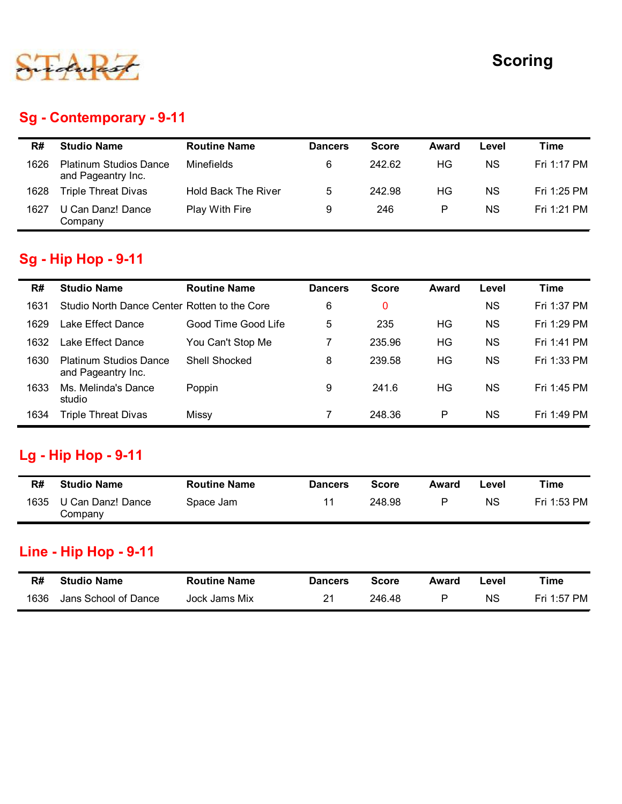

## Sg - Contemporary - 9-11

|      |                                                     |                            |                 |              |           |           | <b>Scoring</b> |
|------|-----------------------------------------------------|----------------------------|-----------------|--------------|-----------|-----------|----------------|
|      |                                                     |                            |                 |              |           |           |                |
|      | <b>Sg - Contemporary - 9-11</b>                     |                            |                 |              |           |           |                |
| R#   | <b>Studio Name</b>                                  | <b>Routine Name</b>        | <b>Dancers</b>  | <b>Score</b> | Award     | Level     | <b>Time</b>    |
| 1626 | <b>Platinum Studios Dance</b><br>and Pageantry Inc. | Minefields                 | 6               | 242.62       | HG        | <b>NS</b> | Fri 1:17 PM    |
|      | <b>Triple Threat Divas</b>                          | <b>Hold Back The River</b> | $5\phantom{.0}$ | 242.98       | HG        | <b>NS</b> | Fri 1:25 PM    |
| 1628 |                                                     |                            |                 |              |           |           |                |
| 1627 | U Can Danz! Dance<br>Company                        | Play With Fire             | 9               | 246          | ${\sf P}$ | <b>NS</b> | Fri 1:21 PM    |
|      |                                                     |                            |                 |              |           |           |                |
|      | <b>Sg - Hip Hop - 9-11</b>                          |                            |                 |              |           |           |                |
| R#   | <b>Studio Name</b>                                  | <b>Routine Name</b>        | <b>Dancers</b>  | <b>Score</b> | Award     | Level     | <b>Time</b>    |
| 1631 | Studio North Dance Center Rotten to the Core        |                            | 6               | $\mathbf 0$  |           | <b>NS</b> | Fri 1:37 PM    |
| 1629 | Lake Effect Dance                                   | Good Time Good Life        | $\overline{5}$  | 235          | HG        | <b>NS</b> | Fri 1:29 PM    |
| 1632 | Lake Effect Dance                                   | You Can't Stop Me          | $\overline{7}$  | 235.96       | HG        | <b>NS</b> | Fri 1:41 PM    |

#### Sg - Hip Hop - 9-11

|            |                                                                       |                                  |                      |                        |                         |                    | <b>Scoring</b>             |
|------------|-----------------------------------------------------------------------|----------------------------------|----------------------|------------------------|-------------------------|--------------------|----------------------------|
|            | <b>Sg - Contemporary - 9-11</b>                                       |                                  |                      |                        |                         |                    |                            |
| R#         | <b>Studio Name</b>                                                    | <b>Routine Name</b>              | <b>Dancers</b>       | <b>Score</b>           | <b>Award</b>            | Level              | <b>Time</b>                |
| 1626       | <b>Platinum Studios Dance</b><br>and Pageantry Inc.                   | Minefields                       | 6                    | 242.62                 | HG                      | <b>NS</b>          | Fri 1:17 PM                |
| 1628       | <b>Triple Threat Divas</b>                                            | <b>Hold Back The River</b>       | 5                    | 242.98                 | <b>HG</b>               | <b>NS</b>          | Fri 1:25 PM                |
| 1627       | U Can Danz! Dance<br>Company                                          | Play With Fire                   | 9                    | 246                    | $\mathsf{P}$            | <b>NS</b>          | Fri 1:21 PM                |
|            | <b>Sg - Hip Hop - 9-11</b>                                            |                                  |                      |                        |                         |                    |                            |
| R#         | <b>Studio Name</b>                                                    | <b>Routine Name</b>              | <b>Dancers</b>       | <b>Score</b>           | <b>Award</b>            | Level              | <b>Time</b>                |
| 1631       | Studio North Dance Center Rotten to the Core                          |                                  | 6                    | 0                      |                         | <b>NS</b>          | Fri 1:37 PM                |
| 1629       | Lake Effect Dance                                                     | Good Time Good Life              | 5                    | 235                    | HG                      | <b>NS</b>          | Fri 1:29 PM                |
| 1632       | Lake Effect Dance                                                     | You Can't Stop Me                | $\overline{7}$       | 235.96                 | <b>HG</b>               | <b>NS</b>          | Fri 1:41 PM                |
| 1630       | <b>Platinum Studios Dance</b><br>and Pageantry Inc.                   | Shell Shocked                    | 8                    | 239.58                 | HG                      | <b>NS</b>          | Fri 1:33 PM                |
| 1633       | Ms. Melinda's Dance<br>studio                                         | Poppin                           | 9                    | 241.6                  | HG                      | <b>NS</b>          | Fri 1:45 PM                |
| 1634       | <b>Triple Threat Divas</b>                                            | Missy                            | $\overline{7}$       | 248.36                 | P                       | <b>NS</b>          | Fri 1:49 PM                |
| R#<br>1635 | <b>Lg - Hip Hop - 9-11</b><br><b>Studio Name</b><br>U Can Danz! Dance | <b>Routine Name</b><br>Space Jam | <b>Dancers</b><br>11 | <b>Score</b><br>248.98 | <b>Award</b><br>$\sf P$ | Level<br><b>NS</b> | <b>Time</b><br>Fri 1:53 PM |
|            | Company                                                               |                                  |                      |                        |                         |                    |                            |
|            |                                                                       |                                  |                      |                        |                         |                    |                            |
|            | <b>Line - Hip Hop - 9-11</b>                                          |                                  |                      |                        |                         |                    |                            |
| R#         | <b>Studio Name</b>                                                    | <b>Routine Name</b>              | <b>Dancers</b>       | <b>Score</b>           | <b>Award</b>            | Level              | <b>Time</b>                |

#### Lg - Hip Hop - 9-11

| R#   | <b>Studio Name</b>           | <b>Routine Name</b> | <b>Dancers</b> | <b>Score</b> | Award | -evel     | Time        |
|------|------------------------------|---------------------|----------------|--------------|-------|-----------|-------------|
| 1635 | U Can Danz! Dance<br>Company | Space Jam           | 11             | 248.98       | D     | <b>NS</b> | Fri 1:53 PM |

## Line - Hip Hop - 9-11

| R#   | Studio Name          | <b>Routine Name</b> | <b>Dancers</b> | Score  | Award | -evel | Time        |
|------|----------------------|---------------------|----------------|--------|-------|-------|-------------|
| 1636 | Jans School of Dance | Jock Jams Mix       | 01             | 246.48 |       | ΝS    | Fri 1:57 PM |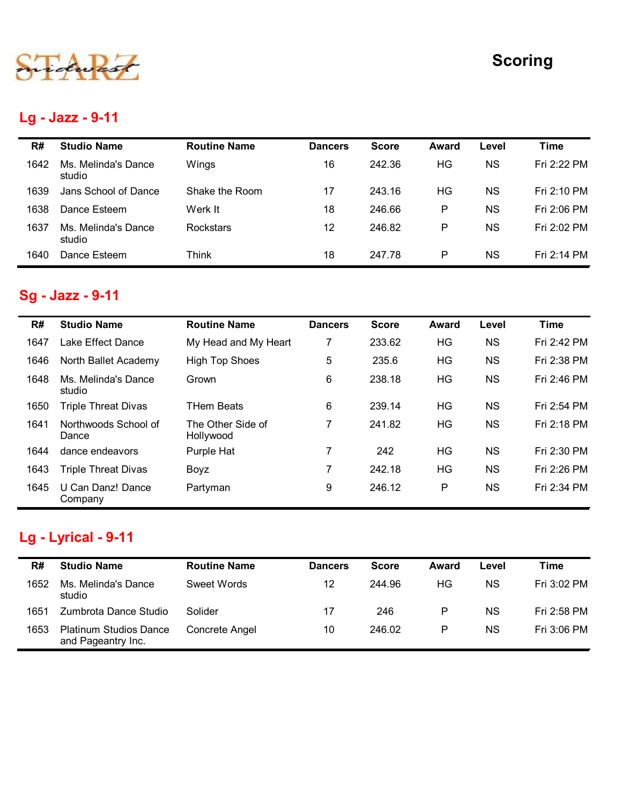

## Lg - Jazz - 9-11

|      |                               |                     |                |              |              |           | <b>Scoring</b> |
|------|-------------------------------|---------------------|----------------|--------------|--------------|-----------|----------------|
|      |                               |                     |                |              |              |           |                |
|      | Lg - Jazz - 9-11              |                     |                |              |              |           |                |
| R#   | <b>Studio Name</b>            | <b>Routine Name</b> | <b>Dancers</b> | <b>Score</b> | <b>Award</b> | Level     | <b>Time</b>    |
| 1642 | Ms. Melinda's Dance<br>studio | Wings               | 16             | 242.36       | HG           | <b>NS</b> | Fri 2:22 PM    |
| 1639 | Jans School of Dance          | Shake the Room      | 17             | 243.16       | HG           | <b>NS</b> | Fri 2:10 PM    |
| 1638 | Dance Esteem                  | Werk It             | 18             | 246.66       | P            | <b>NS</b> | Fri 2:06 PM    |
| 1637 | Ms. Melinda's Dance           | Rockstars           | 12             | 246.82       | $\mathsf{P}$ | <b>NS</b> | Fri 2:02 PM    |
|      | studio                        |                     |                |              |              |           |                |

## Sg - Jazz - 9-11

|      | Lg - Jazz - 9-11              |                                |                |              |              |           |             |
|------|-------------------------------|--------------------------------|----------------|--------------|--------------|-----------|-------------|
| R#   | <b>Studio Name</b>            | <b>Routine Name</b>            | <b>Dancers</b> | <b>Score</b> | Award        | Level     | <b>Time</b> |
| 1642 | Ms. Melinda's Dance<br>studio | Wings                          | 16             | 242.36       | HG           | <b>NS</b> | Fri 2:22 PM |
| 1639 | Jans School of Dance          | Shake the Room                 | 17             | 243.16       | HG           | <b>NS</b> | Fri 2:10 PM |
| 1638 | Dance Esteem                  | Werk It                        | 18             | 246.66       | P            | <b>NS</b> | Fri 2:06 PM |
| 1637 | Ms. Melinda's Dance<br>studio | Rockstars                      | 12             | 246.82       | P            | <b>NS</b> | Fri 2:02 PM |
| 1640 | Dance Esteem                  | Think                          | 18             | 247.78       | P            | <b>NS</b> | Fri 2:14 PM |
|      | Sg - Jazz - 9-11              |                                |                |              |              |           |             |
| R#   | <b>Studio Name</b>            | <b>Routine Name</b>            | <b>Dancers</b> | <b>Score</b> | <b>Award</b> | Level     | <b>Time</b> |
| 1647 | Lake Effect Dance             | My Head and My Heart           | $\overline{7}$ | 233.62       | HG           | <b>NS</b> | Fri 2:42 PM |
| 1646 | North Ballet Academy          | <b>High Top Shoes</b>          | 5              | 235.6        | HG           | <b>NS</b> | Fri 2:38 PM |
| 1648 | Ms. Melinda's Dance<br>studio | Grown                          | 6              | 238.18       | HG           | <b>NS</b> | Fri 2:46 PM |
| 1650 | <b>Triple Threat Divas</b>    | <b>THem Beats</b>              | 6              | 239.14       | <b>HG</b>    | <b>NS</b> | Fri 2:54 PM |
| 1641 | Northwoods School of<br>Dance | The Other Side of<br>Hollywood | $\overline{7}$ | 241.82       | HG           | <b>NS</b> | Fri 2:18 PM |
| 1644 | dance endeavors               | Purple Hat                     | $\overline{7}$ | 242          | HG           | <b>NS</b> | Fri 2:30 PM |
| 1643 | <b>Triple Threat Divas</b>    | Boyz                           | 7              | 242.18       | HG           | <b>NS</b> | Fri 2:26 PM |
| 1645 | U Can Danz! Dance<br>Company  | Partyman                       | 9              | 246.12       | P            | <b>NS</b> | Fri 2:34 PM |
|      | Lg - Lyrical - 9-11           |                                |                |              |              |           |             |
| R#   | <b>Studio Name</b>            | <b>Routine Name</b>            | <b>Dancers</b> | <b>Score</b> | <b>Award</b> | Level     | <b>Time</b> |
| 1652 | Ms. Melinda's Dance<br>studio | Sweet Words                    | 12             | 244.96       | HG           | <b>NS</b> | Fri 3:02 PM |
|      | Zumbrota Dance Studio         | Solider                        | 17             | 246          | P            | <b>NS</b> | Fri 2:58 PM |
| 1651 |                               |                                | 10             | 246.02       | P            | <b>NS</b> | Fri 3:06 PM |

# Lg - Lyrical - 9-11

| R#   | <b>Studio Name</b>                                  | <b>Routine Name</b> | <b>Dancers</b> | <b>Score</b> | Award | ∟evel | Time        |
|------|-----------------------------------------------------|---------------------|----------------|--------------|-------|-------|-------------|
| 1652 | Ms. Melinda's Dance<br>studio                       | Sweet Words         | 12             | 244.96       | НG    | ΝS    | Fri 3:02 PM |
| 1651 | Zumbrota Dance Studio                               | Solider             | 17             | 246          | P     | ΝS    | Fri 2:58 PM |
| 1653 | <b>Platinum Studios Dance</b><br>and Pageantry Inc. | Concrete Angel      | 10             | 246.02       | P     | ΝS    | Fri 3:06 PM |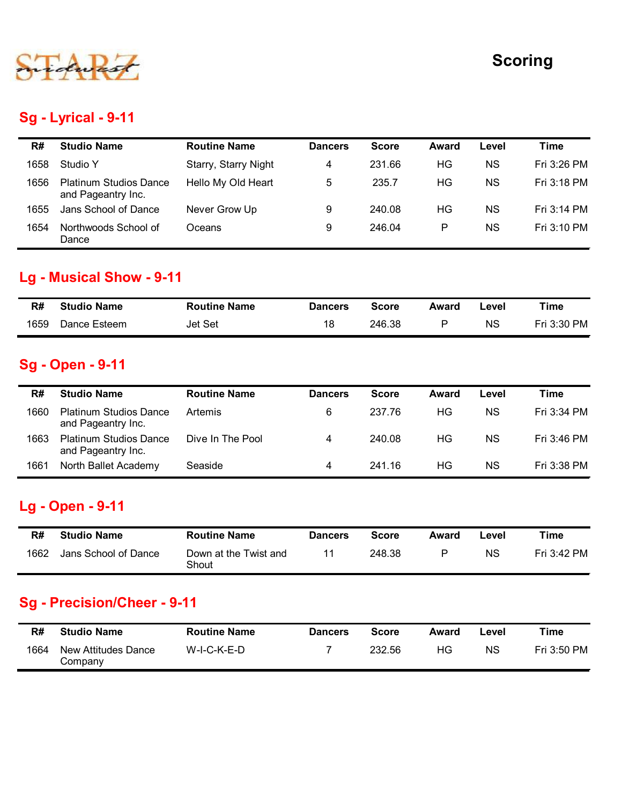

#### Sg - Lyrical - 9-11

|      |                                                     |                      |                |              |              |           | <b>Scoring</b> |
|------|-----------------------------------------------------|----------------------|----------------|--------------|--------------|-----------|----------------|
|      |                                                     |                      |                |              |              |           |                |
|      |                                                     |                      |                |              |              |           |                |
|      | <b>Sg - Lyrical - 9-11</b>                          |                      |                |              |              |           |                |
| R#   | <b>Studio Name</b>                                  | <b>Routine Name</b>  | <b>Dancers</b> | <b>Score</b> | <b>Award</b> | Level     | <b>Time</b>    |
| 1658 | Studio Y                                            | Starry, Starry Night | 4              | 231.66       | HG           | <b>NS</b> | Fri 3:26 PM    |
| 1656 | <b>Platinum Studios Dance</b><br>and Pageantry Inc. | Hello My Old Heart   | 5              | 235.7        | HG           | <b>NS</b> | Fri 3:18 PM    |
| 1655 | Jans School of Dance                                | Never Grow Up        | $9\,$          | 240.08       | HG           | <b>NS</b> | Fri 3:14 PM    |
| 1654 | Northwoods School of<br>Dance                       | Oceans               | 9              | 246.04       | $\mathsf{P}$ | <b>NS</b> | Fri 3:10 PM    |
|      |                                                     |                      |                |              |              |           |                |
|      | <b>Lg - Musical Show - 9-11</b>                     |                      |                |              |              |           |                |
| R#   | <b>Studio Name</b>                                  | <b>Routine Name</b>  | <b>Dancers</b> | <b>Score</b> | <b>Award</b> | Level     | <b>Time</b>    |
| 1659 | Dance Esteem                                        | Jet Set              | 18             | 246.38       | $\mathsf{P}$ | <b>NS</b> | Fri 3:30 PM    |
|      |                                                     |                      |                |              |              |           |                |
|      | <b>Sg - Open - 9-11</b>                             |                      |                |              |              |           |                |
| R#   | <b>Studio Name</b>                                  | <b>Routine Name</b>  | <b>Dancers</b> | <b>Score</b> | Award        | Level     | <b>Time</b>    |
|      | <b>Platinum Studios Dance</b><br>and Pageantry Inc. | Artemis              | $\,6\,$        | 237.76       | HG           | <b>NS</b> | Fri 3:34 PM    |
| 1660 |                                                     |                      |                |              |              |           |                |
| 1663 | <b>Platinum Studios Dance</b><br>and Pageantry Inc. | Dive In The Pool     | $\overline{4}$ | 240.08       | HG           | <b>NS</b> | Fri 3:46 PM    |

#### Lg - Musical Show - 9-11

| R#   | <b>Studio Name</b> | <b>Routine Name</b> | <b>Dancers</b> | Score  | Award | ∟evel | Time        |
|------|--------------------|---------------------|----------------|--------|-------|-------|-------------|
| 1659 | Dance Esteem       | Jet Set             | 18             | 246.38 |       | ΝS    | Fri 3:30 PM |

#### Sg - Open - 9-11

| 1656       | <b>Platinum Studios Dance</b><br>and Pageantry Inc. | Hello My Old Heart                 | 5                                | 235.7                  | HG                 | <b>NS</b>   | Fri 3:18 PM         |
|------------|-----------------------------------------------------|------------------------------------|----------------------------------|------------------------|--------------------|-------------|---------------------|
| 1655       | Jans School of Dance                                | Never Grow Up                      | 9                                | 240.08                 | HG                 | <b>NS</b>   | Fri 3:14 PM         |
| 1654       | Northwoods School of<br>Dance                       | Oceans                             | 9                                | 246.04                 | ${\sf P}$          | <b>NS</b>   | Fri 3:10 PM         |
|            | <b>Lg - Musical Show - 9-11</b>                     |                                    |                                  |                        |                    |             |                     |
| R#         | <b>Studio Name</b>                                  | <b>Routine Name</b>                | <b>Dancers</b>                   | <b>Score</b>           | <b>Award</b>       | Level       | <b>Time</b>         |
| 1659       | Dance Esteem                                        | Jet Set                            | 18                               | 246.38                 | P                  | <b>NS</b>   | Fri 3:30 PM         |
|            | <b>Sg - Open - 9-11</b>                             |                                    |                                  |                        |                    |             |                     |
| R#         | <b>Studio Name</b>                                  | <b>Routine Name</b>                | <b>Dancers</b>                   | <b>Score</b>           | Award              | Level       | <b>Time</b>         |
| 1660       | <b>Platinum Studios Dance</b><br>and Pageantry Inc. | Artemis                            | 6                                | 237.76                 | HG                 | <b>NS</b>   | Fri 3:34 PM         |
| 1663       | <b>Platinum Studios Dance</b><br>and Pageantry Inc. | Dive In The Pool                   | $\overline{4}$                   | 240.08                 | HG                 | <b>NS</b>   | Fri 3:46 PM         |
| 1661       | North Ballet Academy                                | Seaside                            | $\overline{4}$                   | 241.16                 | HG                 | <b>NS</b>   | Fri 3:38 PM         |
|            |                                                     |                                    |                                  |                        |                    |             |                     |
|            | Lg - Open - 9-11                                    |                                    |                                  |                        |                    |             |                     |
| R#         | <b>Studio Name</b>                                  | <b>Routine Name</b>                | <b>Dancers</b>                   | <b>Score</b>           | Award              | Level       | <b>Time</b>         |
| 1662       | Jans School of Dance                                | Down at the Twist and<br>Shout     | 11                               | 248.38                 | P                  | <b>NS</b>   | Fri 3:42 PM         |
|            | <b>Sg - Precision/Cheer - 9-11</b>                  |                                    |                                  |                        |                    |             |                     |
| R#<br>1664 | <b>Studio Name</b><br>New Attitudes Dance           | <b>Routine Name</b><br>W-I-C-K-E-D | <b>Dancers</b><br>$\overline{7}$ | <b>Score</b><br>232.56 | <b>Award</b><br>HG | Level<br>NS | Time<br>Fri 3:50 PM |

#### Lg - Open - 9-11

| R#   | <b>Studio Name</b>   | <b>Routine Name</b>            | <b>Dancers</b> | Score  | Award | ∟evel | Time        |
|------|----------------------|--------------------------------|----------------|--------|-------|-------|-------------|
| 1662 | Jans School of Dance | Down at the Twist and<br>Shout |                | 248.38 |       | ΝS    | Fri 3:42 PM |

#### Sg - Precision/Cheer - 9-11

| R#   | <b>Studio Name</b>             | <b>Routine Name</b> | <b>Dancers</b> | Score  | Award | _evel     | Time        |
|------|--------------------------------|---------------------|----------------|--------|-------|-----------|-------------|
| 1664 | New Attitudes Dance<br>Company | W-I-C-K-E-D         |                | 232.56 | ΗG    | <b>NS</b> | Fri 3:50 PM |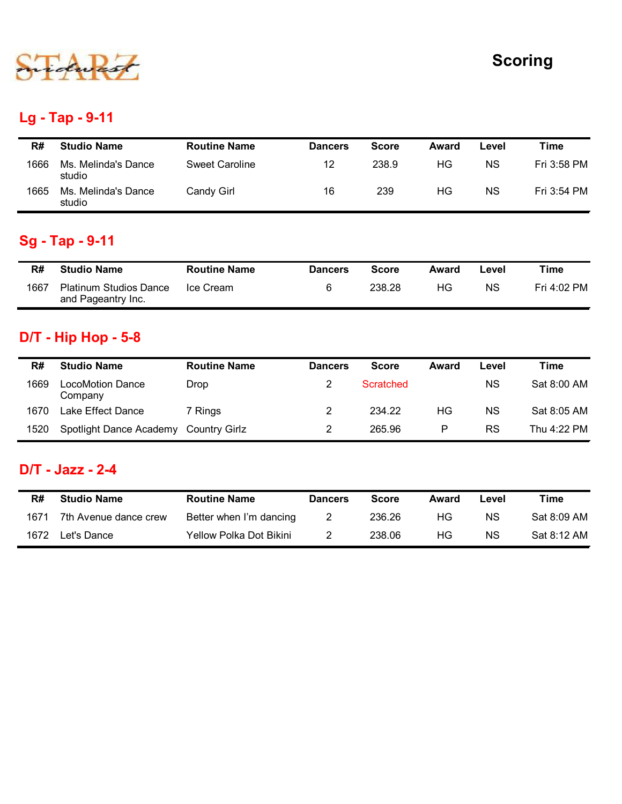

## Lg - Tap - 9-11

|      |                               |                       |                |              |       |           | <b>Scoring</b> |
|------|-------------------------------|-----------------------|----------------|--------------|-------|-----------|----------------|
|      |                               |                       |                |              |       |           |                |
|      | Lg - Tap - 9-11               |                       |                |              |       |           |                |
|      |                               |                       |                |              |       |           | <b>Time</b>    |
| R#   | <b>Studio Name</b>            | <b>Routine Name</b>   | <b>Dancers</b> | <b>Score</b> | Award | Level     |                |
| 1666 | Ms. Melinda's Dance<br>studio | <b>Sweet Caroline</b> | 12             | 238.9        | HG    | <b>NS</b> | Fri 3:58 PM    |
| 1665 | Ms. Melinda's Dance<br>studio | Candy Girl            | 16             | 239          | HG    | <b>NS</b> | Fri 3:54 PM    |
|      |                               |                       |                |              |       |           |                |
|      | Sg - Tap - 9-11               |                       |                |              |       |           |                |
| R#   | <b>Studio Name</b>            | <b>Routine Name</b>   | <b>Dancers</b> | <b>Score</b> | Award | Level     | <b>Time</b>    |

## Sg - Tap - 9-11

| R#   | <b>Studio Name</b>                                  | <b>Routine Name</b> | <b>Dancers</b> | Score  | Award | ∟evel | Time        |
|------|-----------------------------------------------------|---------------------|----------------|--------|-------|-------|-------------|
| 1667 | <b>Platinum Studios Dance</b><br>and Pageantry Inc. | Ice Cream           |                | 238.28 | HG.   | ΝS    | Fri 4:02 PM |

## D/T - Hip Hop - 5-8

| R#   | <b>Studio Name</b>                                  | <b>Routine Name</b>     | <b>Dancers</b>   | <b>Score</b>     | Award        | Level     | <b>Time</b>                               |
|------|-----------------------------------------------------|-------------------------|------------------|------------------|--------------|-----------|-------------------------------------------|
| 1666 | Ms. Melinda's Dance<br>studio                       | <b>Sweet Caroline</b>   | 12               | 238.9            | HG           | <b>NS</b> | Fri 3:58 PM                               |
| 1665 | Ms. Melinda's Dance<br>studio                       | <b>Candy Girl</b>       | 16               | 239              | HG           | <b>NS</b> | Fri 3:54 PM                               |
|      | <b>Sg - Tap - 9-11</b>                              |                         |                  |                  |              |           |                                           |
| R#   | <b>Studio Name</b>                                  | <b>Routine Name</b>     | <b>Dancers</b>   | <b>Score</b>     | <b>Award</b> | Level     | <b>Time</b>                               |
| 1667 | <b>Platinum Studios Dance</b><br>and Pageantry Inc. | Ice Cream               | 6                | 238.28           | HG           | <b>NS</b> | Fri 4:02 PM                               |
|      | <b>D/T - Hip Hop - 5-8</b>                          |                         |                  |                  |              |           |                                           |
|      |                                                     |                         |                  |                  |              |           |                                           |
| R#   | <b>Studio Name</b>                                  | <b>Routine Name</b>     | <b>Dancers</b>   | <b>Score</b>     | Award        | Level     | <b>Time</b>                               |
| 1669 | <b>LocoMotion Dance</b><br>Company                  | <b>Drop</b>             | $\overline{2}$   | <b>Scratched</b> |              | <b>NS</b> |                                           |
| 1670 | Lake Effect Dance                                   | 7 Rings                 | $\overline{2}$   | 234.22           | HG           | <b>NS</b> |                                           |
| 1520 | Spotlight Dance Academy Country Girlz               |                         | $\overline{2}$   | 265.96           | $\mathsf{P}$ | <b>RS</b> | Sat 8:00 AM<br>Sat 8:05 AM<br>Thu 4:22 PM |
|      | <b>D/T - Jazz - 2-4</b>                             |                         |                  |                  |              |           |                                           |
| R#   | <b>Studio Name</b>                                  | <b>Routine Name</b>     | <b>Dancers</b>   | <b>Score</b>     | Award        | Level     | <b>Time</b>                               |
| 1671 | 7th Avenue dance crew                               | Better when I'm dancing | $\boldsymbol{2}$ | 236.26           | HG           | <b>NS</b> | Sat 8:09 AM                               |

#### D/T - Jazz - 2-4

| R#   | <b>Studio Name</b>    | <b>Routine Name</b>     | <b>Dancers</b> | Score  | Award | Level | Time        |
|------|-----------------------|-------------------------|----------------|--------|-------|-------|-------------|
| 1671 | 7th Avenue dance crew | Better when I'm dancing |                | 236.26 | НG    | ΝS    | Sat 8:09 AM |
| 1672 | Let's Dance           | Yellow Polka Dot Bikini |                | 238.06 | НG    | ΝS    | Sat 8:12 AM |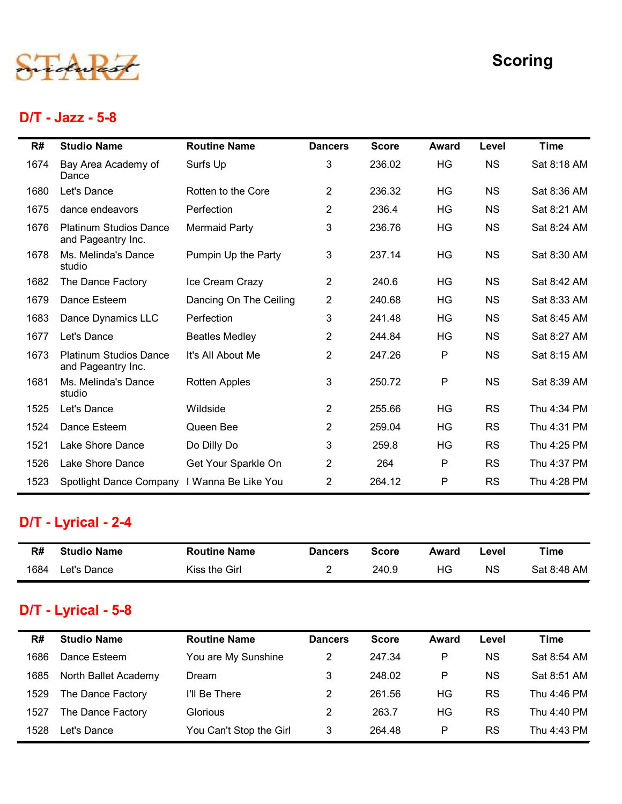## D/T - Jazz - 5-8

|      | D/T - Jazz - 5-8                                    |                        |                |              |       | <b>Scoring</b><br><b>Time</b><br><b>Award</b><br>Level<br>HG<br><b>NS</b><br>Sat 8:18 AM<br>HG<br><b>NS</b><br>Sat 8:36 AM<br>HG<br><b>NS</b><br>Sat 8:21 AM<br><b>NS</b><br>HG<br>Sat 8:24 AM<br>HG<br><b>NS</b><br>Sat 8:30 AM<br>HG<br><b>NS</b><br>Sat 8:42 AM<br>HG<br>Sat 8:33 AM<br><b>NS</b><br>HG<br><b>NS</b><br>Sat 8:45 AM<br>HG<br><b>NS</b><br>Sat 8:27 AM<br>P<br><b>NS</b><br>Sat 8:15 AM |             |  |
|------|-----------------------------------------------------|------------------------|----------------|--------------|-------|-----------------------------------------------------------------------------------------------------------------------------------------------------------------------------------------------------------------------------------------------------------------------------------------------------------------------------------------------------------------------------------------------------------|-------------|--|
| R#   | <b>Studio Name</b>                                  | <b>Routine Name</b>    | <b>Dancers</b> | <b>Score</b> |       |                                                                                                                                                                                                                                                                                                                                                                                                           |             |  |
| 1674 | Bay Area Academy of                                 | Surfs Up               | 3              | 236.02       |       |                                                                                                                                                                                                                                                                                                                                                                                                           |             |  |
| 1680 | Dance<br>Let's Dance                                | Rotten to the Core     | $\overline{2}$ | 236.32       |       |                                                                                                                                                                                                                                                                                                                                                                                                           |             |  |
| 1675 | dance endeavors                                     | Perfection             | $\overline{2}$ | 236.4        |       |                                                                                                                                                                                                                                                                                                                                                                                                           |             |  |
| 1676 | <b>Platinum Studios Dance</b><br>and Pageantry Inc. | <b>Mermaid Party</b>   | 3              | 236.76       |       |                                                                                                                                                                                                                                                                                                                                                                                                           |             |  |
| 1678 | Ms. Melinda's Dance<br>studio                       | Pumpin Up the Party    | 3              | 237.14       |       |                                                                                                                                                                                                                                                                                                                                                                                                           |             |  |
| 1682 | The Dance Factory                                   | Ice Cream Crazy        | $\overline{2}$ | 240.6        |       |                                                                                                                                                                                                                                                                                                                                                                                                           |             |  |
| 1679 | Dance Esteem                                        | Dancing On The Ceiling | $\overline{2}$ | 240.68       |       |                                                                                                                                                                                                                                                                                                                                                                                                           |             |  |
| 1683 | Dance Dynamics LLC                                  | Perfection             | 3              | 241.48       |       |                                                                                                                                                                                                                                                                                                                                                                                                           |             |  |
| 1677 | Let's Dance                                         | <b>Beatles Medley</b>  | 2              | 244.84       |       |                                                                                                                                                                                                                                                                                                                                                                                                           |             |  |
| 1673 | <b>Platinum Studios Dance</b><br>and Pageantry Inc. | It's All About Me      | $\overline{2}$ | 247.26       |       |                                                                                                                                                                                                                                                                                                                                                                                                           |             |  |
| 1681 | Ms. Melinda's Dance<br>studio                       | <b>Rotten Apples</b>   | 3              | 250.72       | P     | <b>NS</b>                                                                                                                                                                                                                                                                                                                                                                                                 | Sat 8:39 AM |  |
| 1525 | Let's Dance                                         | Wildside               | $\overline{2}$ | 255.66       | HG    | <b>RS</b>                                                                                                                                                                                                                                                                                                                                                                                                 | Thu 4:34 PM |  |
| 1524 | Dance Esteem                                        | Queen Bee              | $\overline{2}$ | 259.04       | HG    | <b>RS</b>                                                                                                                                                                                                                                                                                                                                                                                                 | Thu 4:31 PM |  |
| 1521 | Lake Shore Dance                                    | Do Dilly Do            | 3              | 259.8        | HG    | <b>RS</b>                                                                                                                                                                                                                                                                                                                                                                                                 | Thu 4:25 PM |  |
| 1526 | Lake Shore Dance                                    | Get Your Sparkle On    | $\overline{2}$ | 264          | P     | <b>RS</b>                                                                                                                                                                                                                                                                                                                                                                                                 | Thu 4:37 PM |  |
| 1523 | Spotlight Dance Company I Wanna Be Like You         |                        | $\overline{2}$ | 264.12       | P     | <b>RS</b>                                                                                                                                                                                                                                                                                                                                                                                                 | Thu 4:28 PM |  |
|      | D/T - Lyrical - 2-4                                 |                        |                |              |       |                                                                                                                                                                                                                                                                                                                                                                                                           |             |  |
| R#   | <b>Studio Name</b>                                  | <b>Routine Name</b>    | <b>Dancers</b> | <b>Score</b> | Award | Level                                                                                                                                                                                                                                                                                                                                                                                                     | <b>Time</b> |  |
| 1684 | Let's Dance                                         | Kiss the Girl          | $\overline{c}$ | 240.9        | HG    | <b>NS</b>                                                                                                                                                                                                                                                                                                                                                                                                 | Sat 8:48 AM |  |

## D/T - Lyrical - 2-4

| R#   | <b>Studio Name</b> | <b>Routine Name</b> | <b>Dancers</b> | Score | Award | -evel     | Time        |
|------|--------------------|---------------------|----------------|-------|-------|-----------|-------------|
| 1684 | Let's Dance        | Kiss the Girl       |                | 240.9 | ΗG    | <b>NS</b> | Sat 8:48 AM |

## D/T - Lyrical - 5-8

| 1524 | Dance Esteem                       | Queen Bee           | $\overline{2}$ | 259.04                 | HG           | <b>RS</b> | Thu 4:31 PM |
|------|------------------------------------|---------------------|----------------|------------------------|--------------|-----------|-------------|
| 1521 | Lake Shore Dance                   | Do Dilly Do         | 3              | 259.8                  | HG           | <b>RS</b> | Thu 4:25 PM |
| 1526 | Lake Shore Dance                   | Get Your Sparkle On | $\overline{2}$ | 264                    | $\mathsf{P}$ | <b>RS</b> | Thu 4:37 PM |
| 1523 | Spotlight Dance Company            | I Wanna Be Like You | $\overline{2}$ | 264.12                 | P            | <b>RS</b> | Thu 4:28 PM |
|      | D/T - Lyrical - 2-4                |                     |                |                        |              |           |             |
|      |                                    |                     |                |                        |              |           |             |
| R#   | <b>Studio Name</b>                 | <b>Routine Name</b> | <b>Dancers</b> | <b>Score</b>           | <b>Award</b> | Level     | <b>Time</b> |
| 1684 | Let's Dance<br>D/T - Lyrical - 5-8 | Kiss the Girl       | $\overline{2}$ | 240.9                  | HG           | <b>NS</b> | Sat 8:48 AM |
| R#   | <b>Studio Name</b>                 | <b>Routine Name</b> | <b>Dancers</b> |                        | Award        | Level     | <b>Time</b> |
| 1686 | Dance Esteem                       | You are My Sunshine | $\overline{2}$ | <b>Score</b><br>247.34 | $\mathsf{P}$ | <b>NS</b> | Sat 8:54 AM |
| 1685 | North Ballet Academy               | Dream               | 3              | 248.02                 | P            | <b>NS</b> | Sat 8:51 AM |
| 1529 | The Dance Factory                  | I'll Be There       | $\overline{2}$ | 261.56                 | HG           | <b>RS</b> | Thu 4:46 PM |
| 1527 | The Dance Factory                  | Glorious            | $\overline{2}$ | 263.7                  | HG           | <b>RS</b> | Thu 4:40 PM |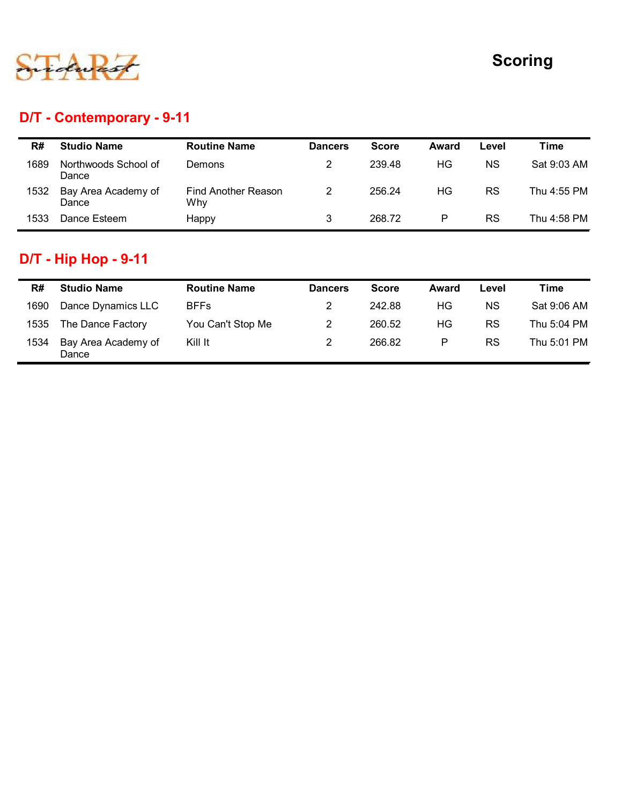

## D/T - Contemporary - 9-11

|      |                               |                            |                |              |         |           | <b>Scoring</b> |
|------|-------------------------------|----------------------------|----------------|--------------|---------|-----------|----------------|
|      |                               |                            |                |              |         |           |                |
|      |                               |                            |                |              |         |           |                |
|      | D/T - Contemporary - 9-11     |                            |                |              |         |           |                |
| R#   | <b>Studio Name</b>            | <b>Routine Name</b>        | <b>Dancers</b> | <b>Score</b> | Award   | Level     | <b>Time</b>    |
| 1689 | Northwoods School of<br>Dance | Demons                     | $\overline{2}$ | 239.48       | HG      | <b>NS</b> | Sat 9:03 AM    |
| 1532 | Bay Area Academy of<br>Dance  | Find Another Reason<br>Why | $\overline{2}$ | 256.24       | HG      | <b>RS</b> | Thu 4:55 PM    |
|      |                               | Happy                      | $\mathbf{3}$   | 268.72       | $\sf P$ | RS        | Thu 4:58 PM    |
| 1533 | Dance Esteem                  |                            |                |              |         |           |                |
|      | <b>D/T - Hip Hop - 9-11</b>   |                            |                |              |         |           |                |
| R#   | <b>Studio Name</b>            | <b>Routine Name</b>        | <b>Dancers</b> | <b>Score</b> | Award   | Level     | <b>Time</b>    |
| 1690 | Dance Dynamics LLC            | <b>BFFs</b>                | $\overline{2}$ | 242.88       | HG      | <b>NS</b> | Sat 9:06 AM    |
| 1535 | The Dance Factory             | You Can't Stop Me          | $\overline{2}$ | 260.52       | HG      | <b>RS</b> | Thu 5:04 PM    |

# D/T - Hip Hop - 9-11

| R#   | <b>Studio Name</b>           | <b>Routine Name</b> | <b>Dancers</b> | <b>Score</b> | Award | Level | Time        |
|------|------------------------------|---------------------|----------------|--------------|-------|-------|-------------|
| 1690 | Dance Dynamics LLC           | <b>BFFs</b>         | 2              | 242.88       | ΗG    | ΝS    | Sat 9:06 AM |
| 1535 | The Dance Factory            | You Can't Stop Me   | 2              | 260.52       | ΗG    | RS    | Thu 5:04 PM |
| 1534 | Bay Area Academy of<br>Dance | Kill It             |                | 266.82       | P     | RS    | Thu 5:01 PM |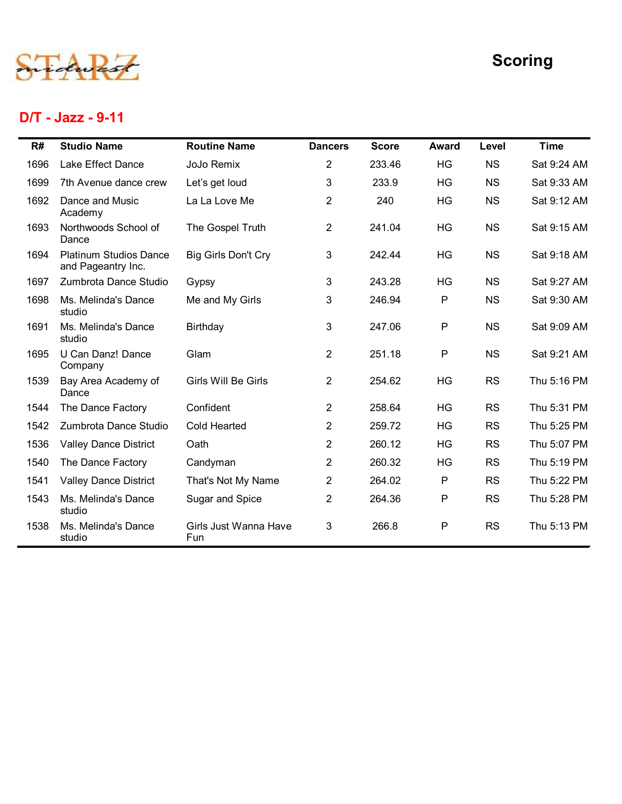

## D/T - Jazz - 9-11

|      |                                                     |                              |                |              |              |           | <b>Scoring</b> |
|------|-----------------------------------------------------|------------------------------|----------------|--------------|--------------|-----------|----------------|
|      | D/T - Jazz - 9-11                                   |                              |                |              |              |           |                |
| R#   | <b>Studio Name</b>                                  | <b>Routine Name</b>          | <b>Dancers</b> | <b>Score</b> | <b>Award</b> | Level     | <b>Time</b>    |
| 1696 | Lake Effect Dance                                   | JoJo Remix                   | $\overline{2}$ | 233.46       | HG           | <b>NS</b> | Sat 9:24 AM    |
| 1699 | 7th Avenue dance crew                               | Let's get loud               | 3              | 233.9        | HG           | <b>NS</b> | Sat 9:33 AM    |
| 1692 | Dance and Music<br>Academy                          | La La Love Me                | $\overline{2}$ | 240          | HG           | <b>NS</b> | Sat 9:12 AM    |
| 1693 | Northwoods School of<br>Dance                       | The Gospel Truth             | $\overline{2}$ | 241.04       | HG           | <b>NS</b> | Sat 9:15 AM    |
| 1694 | <b>Platinum Studios Dance</b><br>and Pageantry Inc. | Big Girls Don't Cry          | 3              | 242.44       | HG           | <b>NS</b> | Sat 9:18 AM    |
| 1697 | Zumbrota Dance Studio                               | Gypsy                        | 3              | 243.28       | HG           | <b>NS</b> | Sat 9:27 AM    |
| 1698 | Ms. Melinda's Dance<br>studio                       | Me and My Girls              | 3              | 246.94       | P            | <b>NS</b> | Sat 9:30 AM    |
| 1691 | Ms. Melinda's Dance<br>studio                       | <b>Birthday</b>              | 3              | 247.06       | P            | <b>NS</b> | Sat 9:09 AM    |
| 1695 | U Can Danz! Dance<br>Company                        | Glam                         | $\overline{2}$ | 251.18       | P            | <b>NS</b> | Sat 9:21 AM    |
| 1539 | Bay Area Academy of<br>Dance                        | Girls Will Be Girls          | $\overline{2}$ | 254.62       | HG           | <b>RS</b> | Thu 5:16 PM    |
| 1544 | The Dance Factory                                   | Confident                    | $\overline{2}$ | 258.64       | HG           | <b>RS</b> | Thu 5:31 PM    |
| 1542 | Zumbrota Dance Studio                               | Cold Hearted                 | $\overline{c}$ | 259.72       | HG           | <b>RS</b> | Thu 5:25 PM    |
| 1536 | <b>Valley Dance District</b>                        | Oath                         | $\overline{2}$ | 260.12       | HG           | <b>RS</b> | Thu 5:07 PM    |
| 1540 | The Dance Factory                                   | Candyman                     | $\overline{2}$ | 260.32       | HG           | <b>RS</b> | Thu 5:19 PM    |
| 1541 | <b>Valley Dance District</b>                        | That's Not My Name           | $\overline{2}$ | 264.02       | P            | <b>RS</b> | Thu 5:22 PM    |
| 1543 | Ms. Melinda's Dance<br>studio                       | Sugar and Spice              | $\overline{2}$ | 264.36       | P            | <b>RS</b> | Thu 5:28 PM    |
| 1538 | Ms. Melinda's Dance<br>studio                       | Girls Just Wanna Have<br>Fun | 3              | 266.8        | ${\sf P}$    | <b>RS</b> | Thu 5:13 PM    |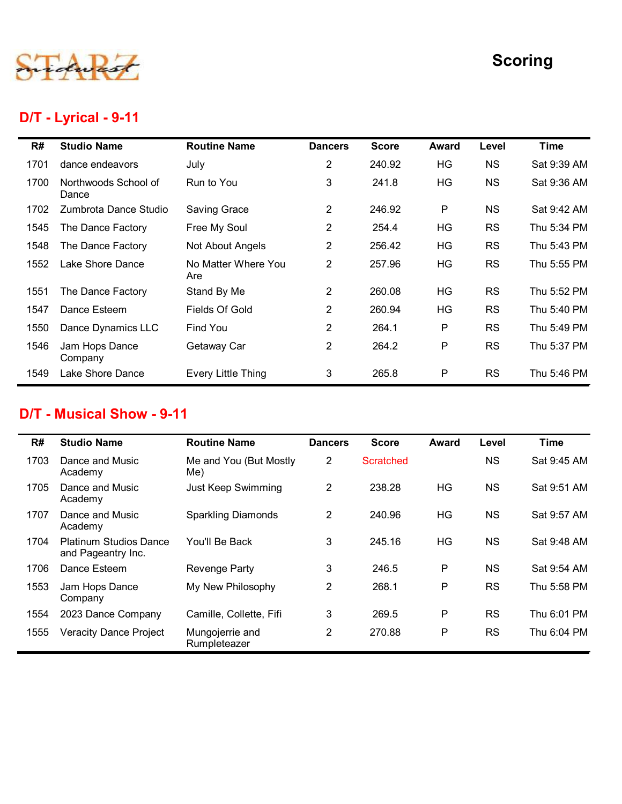

## D/T - Lyrical - 9-11

|      |                               |                            |                |              |              |           | <b>Scoring</b> |
|------|-------------------------------|----------------------------|----------------|--------------|--------------|-----------|----------------|
|      | D/T - Lyrical - 9-11          |                            |                |              |              |           |                |
| R#   | <b>Studio Name</b>            | <b>Routine Name</b>        | <b>Dancers</b> | <b>Score</b> | <b>Award</b> | Level     | <b>Time</b>    |
| 1701 | dance endeavors               | July                       | 2              | 240.92       | HG           | <b>NS</b> | Sat 9:39 AM    |
| 1700 | Northwoods School of<br>Dance | Run to You                 | 3              | 241.8        | HG           | <b>NS</b> | Sat 9:36 AM    |
| 1702 | Zumbrota Dance Studio         | Saving Grace               | $\overline{2}$ | 246.92       | P            | <b>NS</b> | Sat 9:42 AM    |
| 1545 | The Dance Factory             | Free My Soul               | $\overline{2}$ | 254.4        | HG           | <b>RS</b> | Thu 5:34 PM    |
| 1548 | The Dance Factory             | Not About Angels           | $\overline{2}$ | 256.42       | HG           | <b>RS</b> | Thu 5:43 PM    |
| 1552 | Lake Shore Dance              | No Matter Where You<br>Are | $\overline{2}$ | 257.96       | HG           | <b>RS</b> | Thu 5:55 PM    |
| 1551 | The Dance Factory             | Stand By Me                | 2              | 260.08       | HG           | <b>RS</b> | Thu 5:52 PM    |
| 1547 | Dance Esteem                  | Fields Of Gold             | $\overline{2}$ | 260.94       | HG           | <b>RS</b> | Thu 5:40 PM    |
| 1550 | Dance Dynamics LLC            | Find You                   | $\overline{2}$ | 264.1        | P            | <b>RS</b> | Thu 5:49 PM    |
| 1546 | Jam Hops Dance<br>Company     | Getaway Car                | $\overline{2}$ | 264.2        | P            | <b>RS</b> | Thu 5:37 PM    |
| 1549 | Lake Shore Dance              | <b>Every Little Thing</b>  | 3              | 265.8        | P            | <b>RS</b> | Thu 5:46 PM    |

#### D/T - Musical Show - 9-11

| 1552 | Lake Shore Dance                                    | No Matter Where You<br>Are | $2^{\circ}$    | 257.96           | HG           | <b>RS</b> | Thu 5:55 PM |
|------|-----------------------------------------------------|----------------------------|----------------|------------------|--------------|-----------|-------------|
| 1551 | The Dance Factory                                   | Stand By Me                | $\overline{2}$ | 260.08           | HG           | <b>RS</b> | Thu 5:52 PM |
| 1547 | Dance Esteem                                        | Fields Of Gold             | $\overline{2}$ | 260.94           | HG           | <b>RS</b> | Thu 5:40 PM |
| 1550 | Dance Dynamics LLC                                  | Find You                   | $\overline{2}$ | 264.1            | P            | <b>RS</b> | Thu 5:49 PM |
| 1546 | Jam Hops Dance<br>Company                           | Getaway Car                | $\overline{2}$ | 264.2            | P            | <b>RS</b> | Thu 5:37 PM |
| 1549 | Lake Shore Dance                                    | <b>Every Little Thing</b>  | 3              | 265.8            | $\mathsf{P}$ | <b>RS</b> | Thu 5:46 PM |
| R#   | <b>Studio Name</b>                                  | <b>Routine Name</b>        | <b>Dancers</b> | <b>Score</b>     | Award        | Level     | <b>Time</b> |
|      | D/T - Musical Show - 9-11                           |                            |                |                  |              |           |             |
| 1703 | Dance and Music                                     | Me and You (But Mostly     | $\overline{2}$ | <b>Scratched</b> |              | <b>NS</b> | Sat 9:45 AM |
|      | Academy                                             | Me)                        |                |                  |              |           |             |
| 1705 | Dance and Music<br>Academy                          | Just Keep Swimming         | $\overline{2}$ | 238.28           | HG           | <b>NS</b> | Sat 9:51 AM |
|      |                                                     |                            |                |                  |              |           |             |
| 1707 | Dance and Music<br>Academy                          | <b>Sparkling Diamonds</b>  | $\overline{2}$ | 240.96           | HG           | <b>NS</b> | Sat 9:57 AM |
| 1704 | <b>Platinum Studios Dance</b><br>and Pageantry Inc. | You'll Be Back             | 3              | 245.16           | HG           | <b>NS</b> | Sat 9:48 AM |
| 1706 | Dance Esteem                                        | <b>Revenge Party</b>       | 3              | 246.5            | $\sf P$      | <b>NS</b> | Sat 9:54 AM |
| 1553 | Jam Hops Dance<br>Company                           | My New Philosophy          | $\overline{2}$ | 268.1            | P            | <b>RS</b> | Thu 5:58 PM |
| 1554 | 2023 Dance Company                                  | Camille, Collette, Fifi    | 3              | 269.5            | $\sf P$      | <b>RS</b> | Thu 6:01 PM |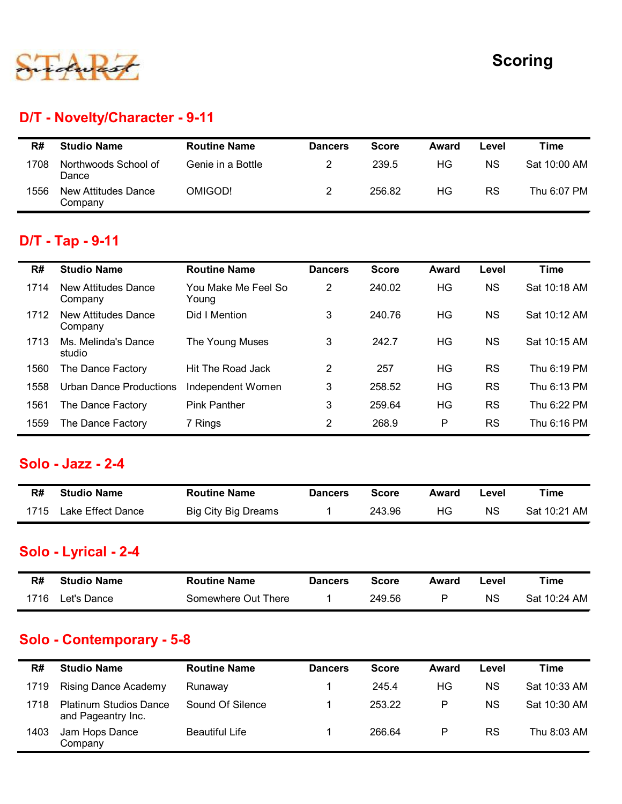

## D/T - Novelty/Character - 9-11

|      |                                |                     |                |              |              |           | <b>Scoring</b> |
|------|--------------------------------|---------------------|----------------|--------------|--------------|-----------|----------------|
|      |                                |                     |                |              |              |           |                |
|      | D/T - Novelty/Character - 9-11 |                     |                |              |              |           |                |
|      |                                |                     |                |              |              |           |                |
| R#   | <b>Studio Name</b>             | <b>Routine Name</b> | <b>Dancers</b> | <b>Score</b> | <b>Award</b> | Level     | <b>Time</b>    |
| 1708 | Northwoods School of<br>Dance  | Genie in a Bottle   | $\overline{2}$ | 239.5        | HG           | <b>NS</b> | Sat 10:00 AM   |

## D/T - Tap - 9-11

|      |                                       |                              |                |              |              |           | <b>Scoring</b> |
|------|---------------------------------------|------------------------------|----------------|--------------|--------------|-----------|----------------|
|      | D/T - Novelty/Character - 9-11        |                              |                |              |              |           |                |
| R#   | <b>Studio Name</b>                    | <b>Routine Name</b>          | <b>Dancers</b> | <b>Score</b> | <b>Award</b> | Level     | <b>Time</b>    |
| 1708 | Northwoods School of<br>Dance         | Genie in a Bottle            | $\overline{c}$ | 239.5        | HG           | <b>NS</b> | Sat 10:00 AM   |
| 1556 | <b>New Attitudes Dance</b><br>Company | OMIGOD!                      | $\overline{2}$ | 256.82       | HG           | <b>RS</b> | Thu 6:07 PM    |
|      | D/T - Tap - 9-11                      |                              |                |              |              |           |                |
| R#   | <b>Studio Name</b>                    | <b>Routine Name</b>          | <b>Dancers</b> | <b>Score</b> | <b>Award</b> | Level     | <b>Time</b>    |
| 1714 | <b>New Attitudes Dance</b><br>Company | You Make Me Feel So<br>Young | $\overline{2}$ | 240.02       | HG           | <b>NS</b> | Sat 10:18 AM   |
| 1712 | <b>New Attitudes Dance</b><br>Company | Did I Mention                | 3              | 240.76       | <b>HG</b>    | <b>NS</b> | Sat 10:12 AM   |
| 1713 | Ms. Melinda's Dance<br>studio         | The Young Muses              | 3              | 242.7        | HG           | <b>NS</b> | Sat 10:15 AM   |
| 1560 | The Dance Factory                     | Hit The Road Jack            | $\overline{2}$ | 257          | HG           | <b>RS</b> | Thu 6:19 PM    |
| 1558 | <b>Urban Dance Productions</b>        | Independent Women            | 3              | 258.52       | HG           | <b>RS</b> | Thu 6:13 PM    |
| 1561 | The Dance Factory                     | <b>Pink Panther</b>          | 3              | 259.64       | HG           | <b>RS</b> | Thu 6:22 PM    |
| 1559 | The Dance Factory                     | 7 Rings                      | $\overline{2}$ | 268.9        | P            | <b>RS</b> | Thu 6:16 PM    |
|      | Solo - Jazz - 2-4                     |                              |                |              |              |           |                |
| R#   | <b>Studio Name</b>                    | <b>Routine Name</b>          | <b>Dancers</b> | <b>Score</b> | <b>Award</b> | Level     | <b>Time</b>    |
| 1715 | Lake Effect Dance                     | <b>Big City Big Dreams</b>   | 1              | 243.96       | HG           | NS        | Sat 10:21 AM   |
|      | Solo - Lyrical - 2-4                  |                              |                |              |              |           |                |
|      | <b>Studio Name</b>                    | <b>Routine Name</b>          | <b>Dancers</b> | <b>Score</b> | <b>Award</b> | Level     | <b>Time</b>    |
| R#   |                                       |                              |                |              |              |           |                |

#### Solo - Jazz - 2-4

| R#   | <b>Studio Name</b> | <b>Routine Name</b> | <b>Dancers</b> | Score  | Award | Level     | ™ime         |
|------|--------------------|---------------------|----------------|--------|-------|-----------|--------------|
| 1715 | Lake Effect Dance  | Big City Big Dreams |                | 243.96 | HG.   | <b>NS</b> | Sat 10:21 AM |

#### Solo - Lyrical - 2-4

| R#   | <b>Studio Name</b> | <b>Routine Name</b> | <b>Dancers</b> | Score  | Award | ∟evel | Time         |
|------|--------------------|---------------------|----------------|--------|-------|-------|--------------|
| 1716 | Let's Dance        | Somewhere Out There |                | 249.56 |       | ΝS    | Sat 10:24 AM |

#### Solo - Contemporary - 5-8

| 1561 | The Dance Factory                                   | Pink Panther               | 3              | 259.64       | HG           | RS.       | Thu 6:22 PM  |
|------|-----------------------------------------------------|----------------------------|----------------|--------------|--------------|-----------|--------------|
| 1559 | The Dance Factory                                   | 7 Rings                    | $\overline{2}$ | 268.9        | P            | <b>RS</b> | Thu 6:16 PM  |
|      | <b>Solo - Jazz - 2-4</b>                            |                            |                |              |              |           |              |
| R#   | <b>Studio Name</b>                                  | <b>Routine Name</b>        | <b>Dancers</b> | <b>Score</b> | <b>Award</b> | Level     | <b>Time</b>  |
| 1715 | Lake Effect Dance                                   | <b>Big City Big Dreams</b> | $\mathbf 1$    | 243.96       | HG           | <b>NS</b> | Sat 10:21 AM |
|      | Solo - Lyrical - 2-4                                |                            |                |              |              |           |              |
| R#   | <b>Studio Name</b>                                  | <b>Routine Name</b>        | <b>Dancers</b> | <b>Score</b> | <b>Award</b> | Level     | <b>Time</b>  |
| 1716 | Let's Dance                                         | Somewhere Out There        | 1              | 249.56       | P            | <b>NS</b> | Sat 10:24 AM |
|      | Solo - Contemporary - 5-8                           |                            |                |              |              |           |              |
| R#   | <b>Studio Name</b>                                  | <b>Routine Name</b>        | <b>Dancers</b> | <b>Score</b> | <b>Award</b> | Level     | <b>Time</b>  |
| 1719 | <b>Rising Dance Academy</b>                         | Runaway                    | $\mathbf 1$    | 245.4        | HG           | <b>NS</b> | Sat 10:33 AM |
|      |                                                     | Sound Of Silence           | 1              | 253.22       | P            | <b>NS</b> | Sat 10:30 AM |
| 1718 | <b>Platinum Studios Dance</b><br>and Pageantry Inc. |                            |                |              |              |           |              |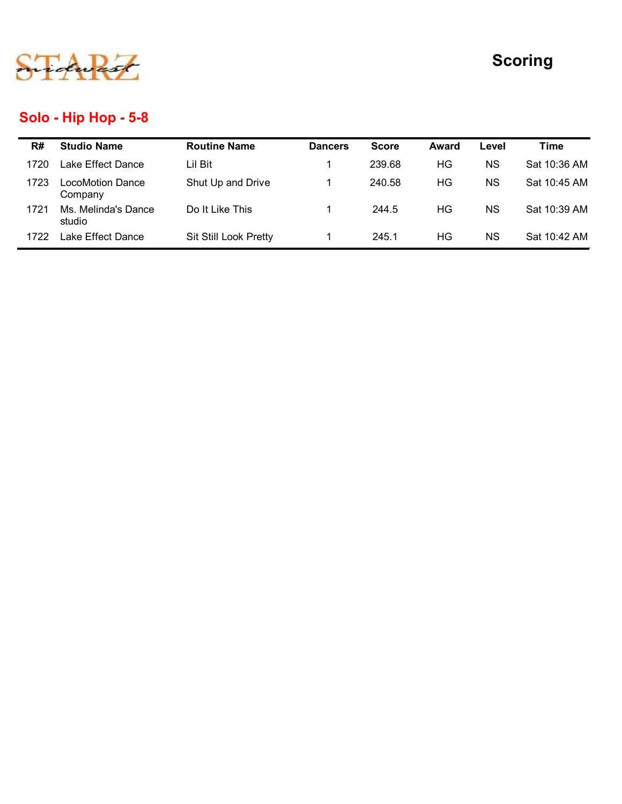

## Solo - Hip Hop - 5-8

|      |                                          |                     |                |              |       |           | <b>Scoring</b> |
|------|------------------------------------------|---------------------|----------------|--------------|-------|-----------|----------------|
|      |                                          |                     |                |              |       |           |                |
|      | Solo - Hip Hop - 5-8                     |                     |                |              |       |           |                |
|      | <b>Studio Name</b>                       | <b>Routine Name</b> | <b>Dancers</b> | <b>Score</b> | Award | Level     | <b>Time</b>    |
| R#   | Lake Effect Dance                        | Lil Bit             | 1              | 239.68       | HG    | <b>NS</b> | Sat 10:36 AM   |
| 1720 |                                          |                     | $\mathbf{1}$   | 240.58       | HG    | <b>NS</b> | Sat 10:45 AM   |
| 1723 | <b>LocoMotion Dance</b>                  | Shut Up and Drive   |                |              |       |           |                |
| 1721 | Company<br>Ms. Melinda's Dance<br>studio | Do It Like This     | $\mathbf{1}$   | 244.5        | HG    | <b>NS</b> | Sat 10:39 AM   |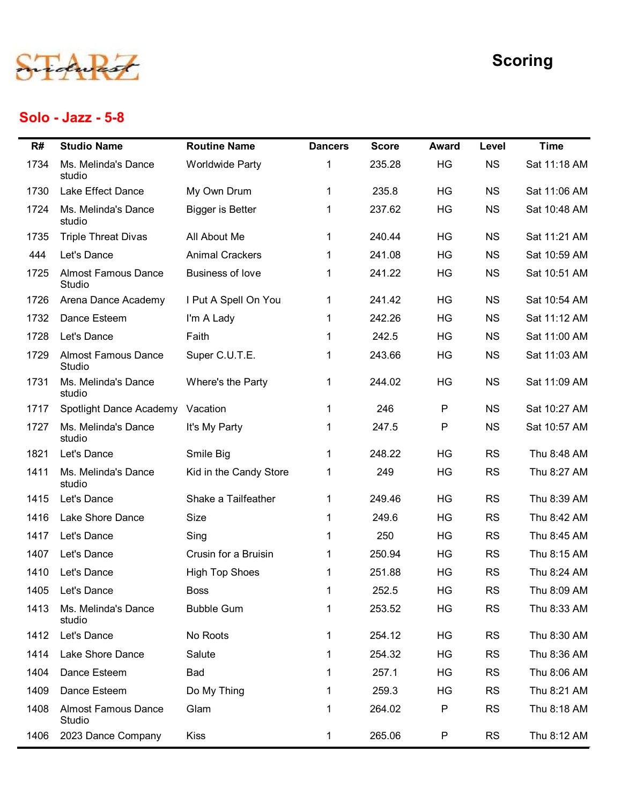

## Solo - Jazz - 5-8

|      |                                      |                         |                |              |              |           | <b>Scoring</b> |
|------|--------------------------------------|-------------------------|----------------|--------------|--------------|-----------|----------------|
|      | Solo - Jazz - 5-8                    |                         |                |              |              |           |                |
| R#   | <b>Studio Name</b>                   | <b>Routine Name</b>     | <b>Dancers</b> | <b>Score</b> | <b>Award</b> | Level     | <b>Time</b>    |
| 1734 | Ms. Melinda's Dance<br>studio        | <b>Worldwide Party</b>  | 1              | 235.28       | HG           | <b>NS</b> | Sat 11:18 AM   |
| 1730 | Lake Effect Dance                    | My Own Drum             | 1              | 235.8        | HG           | <b>NS</b> | Sat 11:06 AM   |
| 1724 | Ms. Melinda's Dance<br>studio        | <b>Bigger is Better</b> | 1              | 237.62       | HG           | <b>NS</b> | Sat 10:48 AM   |
| 1735 | <b>Triple Threat Divas</b>           | All About Me            | 1              | 240.44       | HG           | <b>NS</b> | Sat 11:21 AM   |
| 444  | Let's Dance                          | <b>Animal Crackers</b>  |                | 241.08       | HG           | <b>NS</b> | Sat 10:59 AM   |
| 1725 | <b>Almost Famous Dance</b><br>Studio | <b>Business of love</b> | 1              | 241.22       | HG           | <b>NS</b> | Sat 10:51 AM   |
| 1726 | Arena Dance Academy                  | I Put A Spell On You    | $\mathbf{1}$   | 241.42       | HG           | <b>NS</b> | Sat 10:54 AM   |
| 1732 | Dance Esteem                         | I'm A Lady              |                | 242.26       | HG           | <b>NS</b> | Sat 11:12 AM   |
|      | 1728 Let's Dance                     | Faith                   |                | 242.5        | HG           | <b>NS</b> | Sat 11:00 AM   |
| 1729 | <b>Almost Famous Dance</b><br>Studio | Super C.U.T.E.          | $\mathbf 1$    | 243.66       | HG           | <b>NS</b> | Sat 11:03 AM   |
| 1731 | Ms. Melinda's Dance<br>studio        | Where's the Party       | $\mathbf{1}$   | 244.02       | HG           | <b>NS</b> | Sat 11:09 AM   |
| 1717 | Spotlight Dance Academy Vacation     |                         | $\mathbf{1}$   | 246          | P            | <b>NS</b> | Sat 10:27 AM   |
| 1727 | Ms. Melinda's Dance<br>studio        | It's My Party           | 1              | 247.5        | P            | <b>NS</b> | Sat 10:57 AM   |
| 1821 | Let's Dance                          | Smile Big               | $\mathbf{1}$   | 248.22       | HG           | <b>RS</b> | Thu 8:48 AM    |
| 1411 | Ms. Melinda's Dance<br>studio        | Kid in the Candy Store  | $\mathbf{1}$   | 249          | HG           | <b>RS</b> | Thu 8:27 AM    |
| 1415 | Let's Dance                          | Shake a Tailfeather     | 1.             | 249.46       | HG           | <b>RS</b> | Thu 8:39 AM    |
| 1416 | Lake Shore Dance                     | Size                    |                | 249.6        | HG           | <b>RS</b> | Thu 8:42 AM    |
| 1417 | Let's Dance                          | Sing                    |                | 250          | HG           | <b>RS</b> | Thu 8:45 AM    |
| 1407 | Let's Dance                          | Crusin for a Bruisin    |                | 250.94       | HG           | <b>RS</b> | Thu 8:15 AM    |
| 1410 | Let's Dance                          | <b>High Top Shoes</b>   |                | 251.88       | HG           | <b>RS</b> | Thu 8:24 AM    |
| 1405 | Let's Dance                          | <b>Boss</b>             |                | 252.5        | HG           | <b>RS</b> | Thu 8:09 AM    |
| 1413 | Ms. Melinda's Dance<br>studio        | <b>Bubble Gum</b>       |                | 253.52       | HG           | <b>RS</b> | Thu 8:33 AM    |
| 1412 | Let's Dance                          | No Roots                | $\mathbf 1$    | 254.12       | HG           | <b>RS</b> | Thu 8:30 AM    |
| 1414 | Lake Shore Dance                     | Salute                  |                | 254.32       | HG           | <b>RS</b> | Thu 8:36 AM    |
| 1404 | Dance Esteem                         | <b>Bad</b>              |                | 257.1        | HG           | <b>RS</b> | Thu 8:06 AM    |
| 1409 | Dance Esteem                         | Do My Thing             |                | 259.3        | HG           | <b>RS</b> | Thu 8:21 AM    |
| 1408 | <b>Almost Famous Dance</b><br>Studio | Glam                    |                | 264.02       | P            | <b>RS</b> | Thu 8:18 AM    |
| 1406 | 2023 Dance Company                   | Kiss                    | 1              | 265.06       | P            | <b>RS</b> | Thu 8:12 AM    |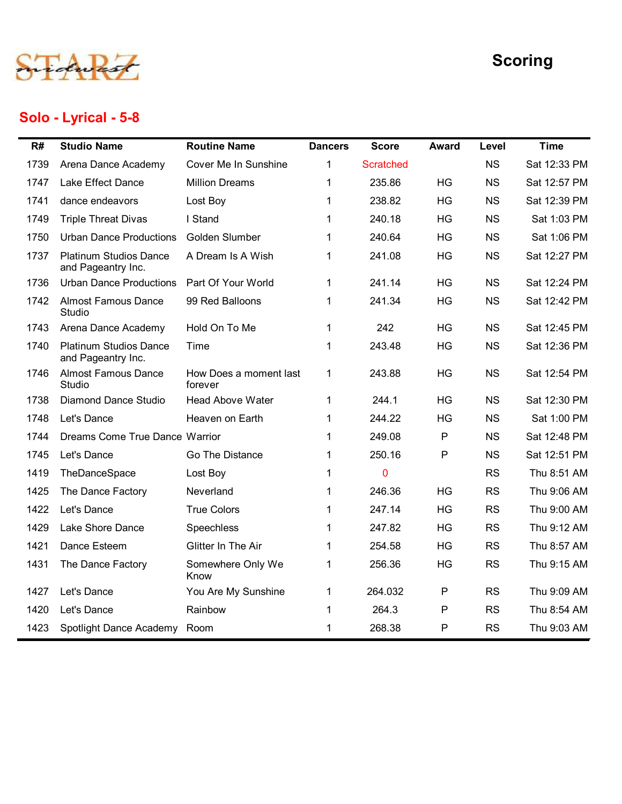

## Solo - Lyrical - 5-8

|      |                                                     |                                   |                |                  |              |           | <b>Scoring</b> |
|------|-----------------------------------------------------|-----------------------------------|----------------|------------------|--------------|-----------|----------------|
| R#   | Solo - Lyrical - 5-8<br><b>Studio Name</b>          | <b>Routine Name</b>               | <b>Dancers</b> | <b>Score</b>     | <b>Award</b> | Level     | <b>Time</b>    |
| 1739 | Arena Dance Academy                                 | Cover Me In Sunshine              | 1              | <b>Scratched</b> |              | <b>NS</b> | Sat 12:33 PM   |
| 1747 | Lake Effect Dance                                   | <b>Million Dreams</b>             |                | 235.86           | HG           | <b>NS</b> | Sat 12:57 PM   |
| 1741 | dance endeavors                                     | Lost Boy                          | 1              | 238.82           | HG           | <b>NS</b> | Sat 12:39 PM   |
| 1749 | <b>Triple Threat Divas</b>                          | I Stand                           | 1              | 240.18           | HG           | <b>NS</b> | Sat 1:03 PM    |
| 1750 | <b>Urban Dance Productions</b>                      | Golden Slumber                    |                | 240.64           | HG           | <b>NS</b> | Sat 1:06 PM    |
| 1737 | <b>Platinum Studios Dance</b><br>and Pageantry Inc. | A Dream Is A Wish                 | -1             | 241.08           | HG           | <b>NS</b> | Sat 12:27 PM   |
| 1736 | <b>Urban Dance Productions</b>                      | Part Of Your World                | 1              | 241.14           | HG           | <b>NS</b> | Sat 12:24 PM   |
| 1742 | <b>Almost Famous Dance</b><br>Studio                | 99 Red Balloons                   | 1              | 241.34           | HG           | <b>NS</b> | Sat 12:42 PM   |
| 1743 | Arena Dance Academy                                 | Hold On To Me                     |                | 242              | HG           | <b>NS</b> | Sat 12:45 PM   |
| 1740 | <b>Platinum Studios Dance</b><br>and Pageantry Inc. | Time                              |                | 243.48           | HG           | <b>NS</b> | Sat 12:36 PM   |
| 1746 | <b>Almost Famous Dance</b><br>Studio                | How Does a moment last<br>forever | $\mathbf 1$    | 243.88           | HG           | <b>NS</b> | Sat 12:54 PM   |
| 1738 | <b>Diamond Dance Studio</b>                         | <b>Head Above Water</b>           | $\mathbf{1}$   | 244.1            | HG           | <b>NS</b> | Sat 12:30 PM   |
| 1748 | Let's Dance                                         | Heaven on Earth                   | -1             | 244.22           | HG           | <b>NS</b> | Sat 1:00 PM    |
| 1744 | Dreams Come True Dance Warrior                      |                                   |                | 249.08           | P            | <b>NS</b> | Sat 12:48 PM   |
| 1745 | Let's Dance                                         | Go The Distance                   |                | 250.16           | P            | <b>NS</b> | Sat 12:51 PM   |
| 1419 | TheDanceSpace                                       | Lost Boy                          |                | $\mathbf 0$      |              | <b>RS</b> | Thu 8:51 AM    |
| 1425 | The Dance Factory                                   | Neverland                         |                | 246.36           | HG           | <b>RS</b> | Thu 9:06 AM    |
| 1422 | Let's Dance                                         | <b>True Colors</b>                |                | 247.14           | HG           | <b>RS</b> | Thu 9:00 AM    |
| 1429 | Lake Shore Dance                                    | Speechless                        |                | 247.82           | HG           | <b>RS</b> | Thu 9:12 AM    |
| 1421 | Dance Esteem                                        | Glitter In The Air                |                | 254.58           | HG           | <b>RS</b> | Thu 8:57 AM    |
| 1431 | The Dance Factory                                   | Somewhere Only We<br>Know         | -1             | 256.36           | HG           | <b>RS</b> | Thu 9:15 AM    |
| 1427 | Let's Dance                                         | You Are My Sunshine               | 1              | 264.032          | P            | <b>RS</b> | Thu 9:09 AM    |
| 1420 | Let's Dance                                         | Rainbow                           | -1             | 264.3            | P            | <b>RS</b> | Thu 8:54 AM    |
| 1423 | Spotlight Dance Academy Room                        |                                   | 1              | 268.38           | P            | <b>RS</b> | Thu 9:03 AM    |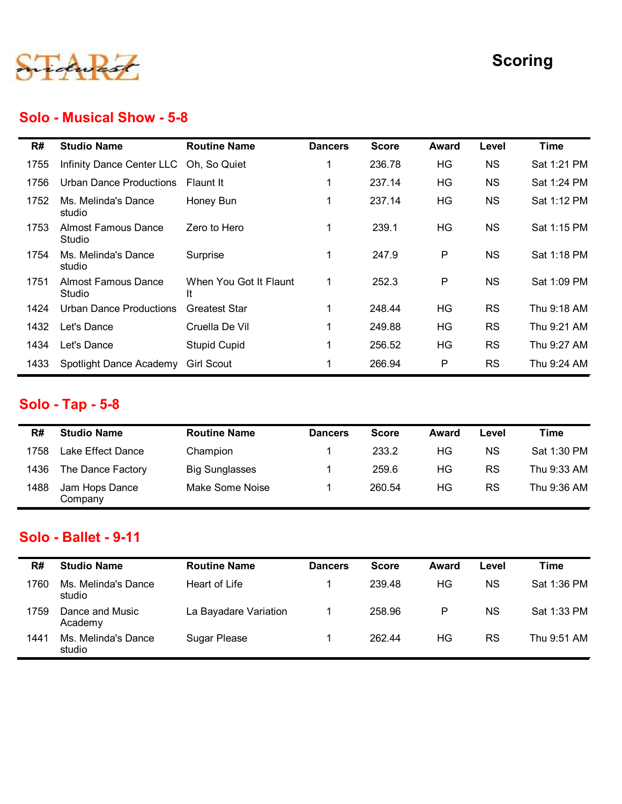

#### Solo - Musical Show - 5-8

|      |                                      |                              |                |              |              |           | <b>Scoring</b> |
|------|--------------------------------------|------------------------------|----------------|--------------|--------------|-----------|----------------|
|      |                                      |                              |                |              |              |           |                |
|      | <b>Solo - Musical Show - 5-8</b>     |                              |                |              |              |           |                |
| R#   | <b>Studio Name</b>                   | <b>Routine Name</b>          | <b>Dancers</b> | <b>Score</b> | <b>Award</b> | Level     | <b>Time</b>    |
| 1755 | Infinity Dance Center LLC            | Oh, So Quiet                 | 1              | 236.78       | HG           | <b>NS</b> | Sat 1:21 PM    |
| 1756 | <b>Urban Dance Productions</b>       | Flaunt It                    | $\mathbf 1$    | 237.14       | HG           | <b>NS</b> | Sat 1:24 PM    |
| 1752 | Ms. Melinda's Dance<br>studio        | Honey Bun                    | $\mathbf{1}$   | 237.14       | HG           | <b>NS</b> | Sat 1:12 PM    |
| 1753 | <b>Almost Famous Dance</b><br>Studio | Zero to Hero                 | $\mathbf{1}$   | 239.1        | HG           | <b>NS</b> | Sat 1:15 PM    |
| 1754 | Ms. Melinda's Dance<br>studio        | Surprise                     | $\mathbf 1$    | 247.9        | P            | <b>NS</b> | Sat 1:18 PM    |
| 1751 | <b>Almost Famous Dance</b><br>Studio | When You Got It Flaunt<br>It | $\mathbf{1}$   | 252.3        | P            | <b>NS</b> | Sat 1:09 PM    |
| 1424 | <b>Urban Dance Productions</b>       | <b>Greatest Star</b>         | -1             | 248.44       | HG           | <b>RS</b> | Thu 9:18 AM    |
| 1432 | Let's Dance                          | Cruella De Vil               | -1             | 249.88       | HG           | <b>RS</b> | Thu 9:21 AM    |
| 1434 | Let's Dance                          | <b>Stupid Cupid</b>          | 1              | 256.52       | HG           | RS        | Thu 9:27 AM    |
| 1433 | Spotlight Dance Academy              | <b>Girl Scout</b>            | -1             | 266.94       | P            | <b>RS</b> | Thu 9:24 AM    |
|      | <b>Solo - Tap - 5-8</b>              |                              |                |              |              |           |                |
| R#   | <b>Studio Name</b>                   | <b>Routine Name</b>          | <b>Dancers</b> | <b>Score</b> | <b>Award</b> | Level     | <b>Time</b>    |
| 1758 | Lake Effect Dance                    | Champion                     | 1              | 233.2        | HG           | <b>NS</b> | Sat 1:30 PM    |
| 1436 | The Dance Factory                    | <b>Big Sunglasses</b>        | -1             | 259.6        | HG           | <b>RS</b> | Thu 9:33 AM    |
| 1488 | Jam Hops Dance<br>Company            | Make Some Noise              | $\mathbf{1}$   | 260.54       | HG           | RS        | Thu 9:36 AM    |

## Solo - Tap - 5-8

| 1424 | <b>Urban Dance Productions</b>                    | <b>Greatest Star</b>  |                | 248.44       | <b>HG</b>    | <b>RS</b> | Thu 9:18 AM |
|------|---------------------------------------------------|-----------------------|----------------|--------------|--------------|-----------|-------------|
| 1432 | Let's Dance                                       | Cruella De Vil        |                | 249.88       | <b>HG</b>    | <b>RS</b> | Thu 9:21 AM |
| 1434 | Let's Dance                                       | <b>Stupid Cupid</b>   |                | 256.52       | HG           | <b>RS</b> | Thu 9:27 AM |
| 1433 | Spotlight Dance Academy Girl Scout                |                       |                | 266.94       | P            | <b>RS</b> | Thu 9:24 AM |
|      | <b>Solo - Tap - 5-8</b>                           |                       |                |              |              |           |             |
| R#   | <b>Studio Name</b>                                | <b>Routine Name</b>   | <b>Dancers</b> | <b>Score</b> | <b>Award</b> | Level     | <b>Time</b> |
| 1758 | Lake Effect Dance                                 | Champion              |                | 233.2        | HG           | <b>NS</b> | Sat 1:30 PM |
| 1436 | The Dance Factory                                 | <b>Big Sunglasses</b> |                | 259.6        | HG           | <b>RS</b> | Thu 9:33 AM |
| 1488 | Jam Hops Dance<br>Company                         | Make Some Noise       |                | 260.54       | HG           | <b>RS</b> | Thu 9:36 AM |
| R#   | <b>Solo - Ballet - 9-11</b><br><b>Studio Name</b> | <b>Routine Name</b>   | <b>Dancers</b> | <b>Score</b> | Award        | Level     | <b>Time</b> |
| 1760 | Ms. Melinda's Dance<br>studio                     | Heart of Life         |                | 239.48       | <b>HG</b>    | <b>NS</b> | Sat 1:36 PM |
| 1759 | Dance and Music<br>Academy                        | La Bayadare Variation | $\mathbf{1}$   | 258.96       | $\mathsf{P}$ | <b>NS</b> | Sat 1:33 PM |

#### Solo - Ballet - 9-11

| 1432 | Let's Dance                   | Cruella De Vil        | $\mathbf{1}$   | 249.88       | HG           | <b>RS</b> | Thu 9:21 AM |
|------|-------------------------------|-----------------------|----------------|--------------|--------------|-----------|-------------|
| 1434 | Let's Dance                   | <b>Stupid Cupid</b>   | $\mathbf{1}$   | 256.52       | HG           | <b>RS</b> | Thu 9:27 AM |
| 1433 | Spotlight Dance Academy       | <b>Girl Scout</b>     |                | 266.94       | P            | RS        | Thu 9:24 AM |
|      | <b>Solo - Tap - 5-8</b>       |                       |                |              |              |           |             |
| R#   | <b>Studio Name</b>            | <b>Routine Name</b>   | <b>Dancers</b> | <b>Score</b> | <b>Award</b> | Level     | <b>Time</b> |
| 1758 | Lake Effect Dance             | Champion              | $\mathbf 1$    | 233.2        | HG           | <b>NS</b> | Sat 1:30 PM |
| 1436 | The Dance Factory             | <b>Big Sunglasses</b> | $\mathbf 1$    | 259.6        | HG           | <b>RS</b> | Thu 9:33 AM |
|      |                               |                       |                |              |              | RS        | Thu 9:36 AM |
| 1488 | Jam Hops Dance<br>Company     | Make Some Noise       | $\mathbf{1}$   | 260.54       | HG           |           |             |
|      | <b>Solo - Ballet - 9-11</b>   |                       |                |              |              |           |             |
| R#   | <b>Studio Name</b>            | <b>Routine Name</b>   | <b>Dancers</b> | <b>Score</b> | <b>Award</b> | Level     | <b>Time</b> |
| 1760 | Ms. Melinda's Dance<br>studio | Heart of Life         | $\mathbf 1$    | 239.48       | HG           | <b>NS</b> | Sat 1:36 PM |
| 1759 | Dance and Music<br>Academy    | La Bayadare Variation | $\mathbf{1}$   | 258.96       | ${\sf P}$    | <b>NS</b> | Sat 1:33 PM |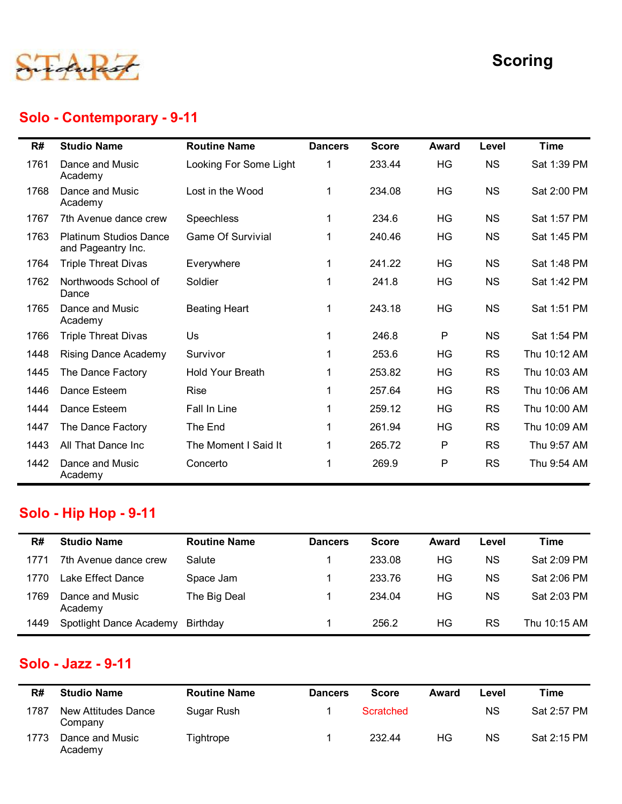

# Solo - Contemporary - 9-11

|      |                                                     |                          |                |              |              |           | <b>Scoring</b> |
|------|-----------------------------------------------------|--------------------------|----------------|--------------|--------------|-----------|----------------|
|      | Solo - Contemporary - 9-11                          |                          |                |              |              |           |                |
| R#   | <b>Studio Name</b>                                  | <b>Routine Name</b>      | <b>Dancers</b> | <b>Score</b> | <b>Award</b> | Level     | <b>Time</b>    |
| 1761 | Dance and Music<br>Academy                          | Looking For Some Light   | $\mathbf 1$    | 233.44       | HG           | <b>NS</b> | Sat 1:39 PM    |
| 1768 | Dance and Music<br>Academy                          | Lost in the Wood         | $\mathbf{1}$   | 234.08       | HG           | <b>NS</b> | Sat 2:00 PM    |
| 1767 | 7th Avenue dance crew                               | Speechless               | $\mathbf 1$    | 234.6        | HG           | <b>NS</b> | Sat 1:57 PM    |
| 1763 | <b>Platinum Studios Dance</b><br>and Pageantry Inc. | <b>Game Of Survivial</b> | $\mathbf{1}$   | 240.46       | HG           | <b>NS</b> | Sat 1:45 PM    |
| 1764 | <b>Triple Threat Divas</b>                          | Everywhere               | $\mathbf{1}$   | 241.22       | HG           | <b>NS</b> | Sat 1:48 PM    |
| 1762 | Northwoods School of<br>Dance                       | Soldier                  | $\mathbf{1}$   | 241.8        | HG           | <b>NS</b> | Sat 1:42 PM    |
| 1765 | Dance and Music<br>Academy                          | <b>Beating Heart</b>     | 1              | 243.18       | HG           | <b>NS</b> | Sat 1:51 PM    |
|      | 1766 Triple Threat Divas                            | Us                       | $\mathbf{1}$   | 246.8        | $\mathsf{P}$ | <b>NS</b> | Sat 1:54 PM    |
| 1448 | <b>Rising Dance Academy</b>                         | Survivor                 | $\mathbf 1$    | 253.6        | HG           | <b>RS</b> | Thu 10:12 AM   |
| 1445 | The Dance Factory                                   | <b>Hold Your Breath</b>  | 1              | 253.82       | HG           | <b>RS</b> | Thu 10:03 AM   |
| 1446 | Dance Esteem                                        | Rise                     | $\mathbf 1$    | 257.64       | HG           | <b>RS</b> | Thu 10:06 AM   |
| 1444 | Dance Esteem                                        | Fall In Line             | 1              | 259.12       | HG           | <b>RS</b> | Thu 10:00 AM   |
| 1447 | The Dance Factory                                   | The End                  | $\mathbf 1$    | 261.94       | HG           | <b>RS</b> | Thu 10:09 AM   |
| 1443 | All That Dance Inc                                  | The Moment I Said It     | 1              | 265.72       | P            | <b>RS</b> | Thu 9:57 AM    |
| 1442 | Dance and Music<br>Academy                          | Concerto                 | $\mathbf{1}$   | 269.9        | P            | <b>RS</b> | Thu 9:54 AM    |
|      | <b>Solo - Hip Hop - 9-11</b>                        |                          |                |              |              |           |                |
| R#   | <b>Studio Name</b>                                  | <b>Routine Name</b>      | <b>Dancers</b> | <b>Score</b> | <b>Award</b> | Level     | <b>Time</b>    |
| 1771 | 7th Avenue dance crew                               | Salute                   | 1              | 233.08       | HG           | <b>NS</b> | Sat 2:09 PM    |
| 1770 | Lake Effect Dance                                   | Space Jam                | -1             | 233.76       | HG           | <b>NS</b> | Sat 2:06 PM    |
| 1769 | Dance and Music<br>Academy                          | The Big Deal             | $\mathbf{1}$   | 234.04       | HG           | <b>NS</b> | Sat 2:03 PM    |
| 1449 | Spotlight Dance Academy Birthday                    |                          | $\mathbf{1}$   | 256.2        | HG           | RS        | Thu 10:15 AM   |

#### Solo - Hip Hop - 9-11

| The Dance Factory                     | THE EIR                                            |                |              |              |           | <b>THU TU.US AIVE</b> |
|---------------------------------------|----------------------------------------------------|----------------|--------------|--------------|-----------|-----------------------|
| All That Dance Inc                    | The Moment I Said It                               | $\mathbf{1}$   | 265.72       | P            | <b>RS</b> | Thu 9:57 AM           |
| Dance and Music<br>Academy            | Concerto                                           | 1              | 269.9        | P            | <b>RS</b> | Thu 9:54 AM           |
|                                       |                                                    |                |              |              |           |                       |
| <b>Studio Name</b>                    | <b>Routine Name</b>                                | <b>Dancers</b> | <b>Score</b> | <b>Award</b> | Level     | <b>Time</b>           |
| 7th Avenue dance crew                 | Salute                                             | 1              | 233.08       | HG           | <b>NS</b> | Sat 2:09 PM           |
| Lake Effect Dance                     | Space Jam                                          | $\mathbf 1$    | 233.76       | HG           | <b>NS</b> | Sat 2:06 PM           |
| Dance and Music<br>Academy            | The Big Deal                                       | 1              | 234.04       | HG           | <b>NS</b> | Sat 2:03 PM           |
| Spotlight Dance Academy               | Birthday                                           | $\overline{1}$ | 256.2        | HG           | <b>RS</b> | Thu 10:15 AM          |
| <b>Studio Name</b>                    | <b>Routine Name</b>                                | <b>Dancers</b> | <b>Score</b> | <b>Award</b> | Level     | <b>Time</b>           |
| <b>New Attitudes Dance</b><br>Company | Sugar Rush                                         | 1              | Scratched    |              | <b>NS</b> | Sat 2:57 PM           |
| Dance and Music<br>Academy            | Tightrope                                          | 1              | 232.44       | HG           | <b>NS</b> | Sat 2:15 PM           |
|                                       |                                                    |                |              |              |           |                       |
|                                       | <b>Solo - Hip Hop - 9-11</b><br>Solo - Jazz - 9-11 |                |              |              |           | ZU 1.94<br>пv<br>טח   |

#### Solo - Jazz - 9-11

| R#   | <b>Studio Name</b>             | <b>Routine Name</b> | <b>Dancers</b> | <b>Score</b> | Award | Level     | Time        |
|------|--------------------------------|---------------------|----------------|--------------|-------|-----------|-------------|
| 1787 | New Attitudes Dance<br>Company | Sugar Rush          |                | Scratched    |       | ΝS        | Sat 2:57 PM |
| 1773 | Dance and Music<br>Academy     | Tightrope           |                | 232.44       | ΗG    | <b>NS</b> | Sat 2:15 PM |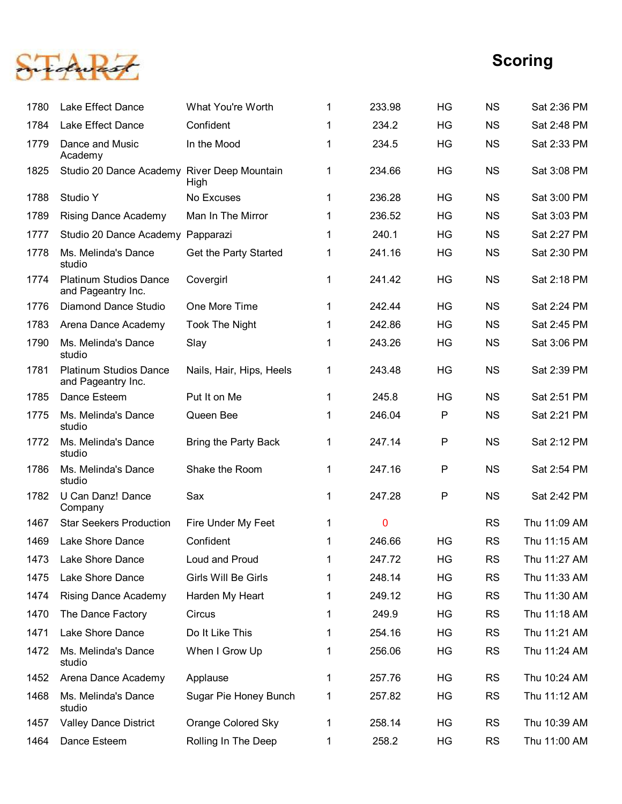

|      |                                                     |                             |              |             |           |           | <b>Scoring</b> |
|------|-----------------------------------------------------|-----------------------------|--------------|-------------|-----------|-----------|----------------|
| 1780 | Lake Effect Dance                                   | What You're Worth           | -1           | 233.98      | <b>HG</b> | <b>NS</b> | Sat 2:36 PM    |
| 1784 | Lake Effect Dance                                   | Confident                   | $\mathbf 1$  | 234.2       | HG        | <b>NS</b> | Sat 2:48 PM    |
| 1779 | Dance and Music<br>Academy                          | In the Mood                 | $\mathbf 1$  | 234.5       | HG        | <b>NS</b> | Sat 2:33 PM    |
| 1825 | Studio 20 Dance Academy River Deep Mountain         | High                        | $\mathbf{1}$ | 234.66      | HG        | <b>NS</b> | Sat 3:08 PM    |
| 1788 | Studio Y                                            | No Excuses                  | $\mathbf{1}$ | 236.28      | HG        | <b>NS</b> | Sat 3:00 PM    |
| 1789 | <b>Rising Dance Academy</b>                         | Man In The Mirror           | $\mathbf 1$  | 236.52      | HG        | <b>NS</b> | Sat 3:03 PM    |
| 1777 | Studio 20 Dance Academy                             | Papparazi                   | 1            | 240.1       | HG        | <b>NS</b> | Sat 2:27 PM    |
| 1778 | Ms. Melinda's Dance<br>studio                       | Get the Party Started       | $\mathbf{1}$ | 241.16      | HG        | <b>NS</b> | Sat 2:30 PM    |
| 1774 | <b>Platinum Studios Dance</b><br>and Pageantry Inc. | Covergirl                   | 1            | 241.42      | HG        | <b>NS</b> | Sat 2:18 PM    |
| 1776 | <b>Diamond Dance Studio</b>                         | One More Time               | 1            | 242.44      | HG        | <b>NS</b> | Sat 2:24 PM    |
| 1783 | Arena Dance Academy                                 | <b>Took The Night</b>       | 1            | 242.86      | HG        | <b>NS</b> | Sat 2:45 PM    |
| 1790 | Ms. Melinda's Dance<br>studio                       | Slay                        | 1            | 243.26      | HG        | <b>NS</b> | Sat 3:06 PM    |
| 1781 | <b>Platinum Studios Dance</b><br>and Pageantry Inc. | Nails, Hair, Hips, Heels    | $\mathbf{1}$ | 243.48      | HG        | <b>NS</b> | Sat 2:39 PM    |
| 1785 | Dance Esteem                                        | Put It on Me                | $\mathbf{1}$ | 245.8       | HG        | <b>NS</b> | Sat 2:51 PM    |
| 1775 | Ms. Melinda's Dance<br>studio                       | Queen Bee                   | $\mathbf 1$  | 246.04      | $\sf P$   | <b>NS</b> | Sat 2:21 PM    |
| 1772 | Ms. Melinda's Dance<br>studio                       | <b>Bring the Party Back</b> | $\mathbf{1}$ | 247.14      | $\sf P$   | <b>NS</b> | Sat 2:12 PM    |
| 1786 | Ms. Melinda's Dance<br>studio                       | Shake the Room              | $\mathbf 1$  | 247.16      | $\sf P$   | <b>NS</b> | Sat 2:54 PM    |
| 1782 | U Can Danz! Dance<br>Company                        | Sax                         | $\mathbf 1$  | 247.28      | P         | <b>NS</b> | Sat 2:42 PM    |
| 1467 | <b>Star Seekers Production</b>                      | Fire Under My Feet          | $\mathbf{1}$ | $\mathbf 0$ |           | <b>RS</b> | Thu 11:09 AM   |
| 1469 | Lake Shore Dance                                    | Confident                   | $\mathbf{1}$ | 246.66      | HG        | <b>RS</b> | Thu 11:15 AM   |
| 1473 | Lake Shore Dance                                    | Loud and Proud              | $\mathbf{1}$ | 247.72      | HG        | <b>RS</b> | Thu 11:27 AM   |
| 1475 | Lake Shore Dance                                    | Girls Will Be Girls         | $\mathbf{1}$ | 248.14      | HG        | <b>RS</b> | Thu 11:33 AM   |
| 1474 | <b>Rising Dance Academy</b>                         | Harden My Heart             | $\mathbf{1}$ | 249.12      | HG        | <b>RS</b> | Thu 11:30 AM   |
| 1470 | The Dance Factory                                   | Circus                      | $\mathbf{1}$ | 249.9       | HG        | <b>RS</b> | Thu 11:18 AM   |
| 1471 | Lake Shore Dance                                    | Do It Like This             | $\mathbf{1}$ | 254.16      | HG        | <b>RS</b> | Thu 11:21 AM   |
| 1472 | Ms. Melinda's Dance<br>studio                       | When I Grow Up              | $\mathbf{1}$ | 256.06      | HG        | RS        | Thu 11:24 AM   |
| 1452 | Arena Dance Academy                                 | Applause                    | $\mathbf 1$  | 257.76      | HG        | <b>RS</b> | Thu 10:24 AM   |
| 1468 | Ms. Melinda's Dance<br>studio                       | Sugar Pie Honey Bunch       | $\mathbf{1}$ | 257.82      | HG        | <b>RS</b> | Thu 11:12 AM   |
| 1457 | <b>Valley Dance District</b>                        | Orange Colored Sky          | $\mathbf{1}$ | 258.14      | HG        | <b>RS</b> | Thu 10:39 AM   |
| 1464 | Dance Esteem                                        | Rolling In The Deep         | $\mathbf 1$  | 258.2       | HG        | <b>RS</b> | Thu 11:00 AM   |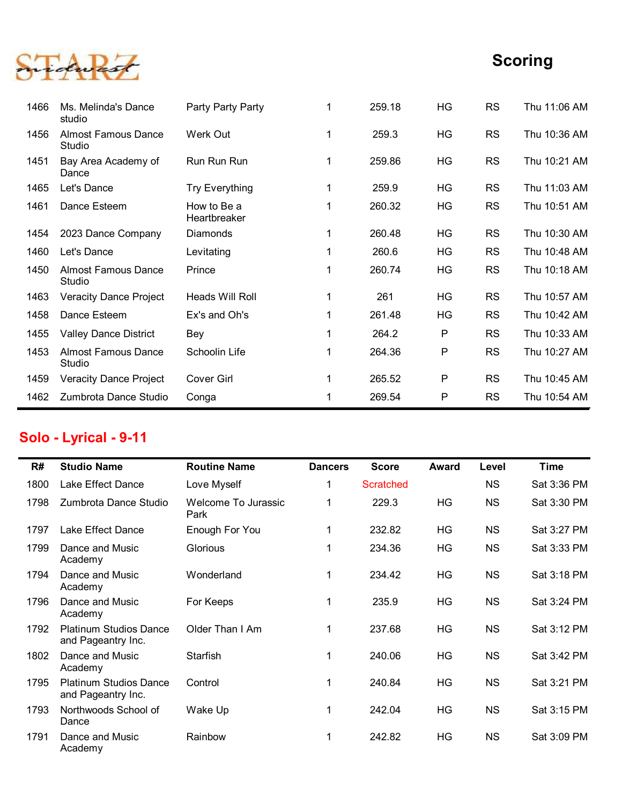

|      |                                      |                             |                |                  |           |           | <b>Scoring</b> |
|------|--------------------------------------|-----------------------------|----------------|------------------|-----------|-----------|----------------|
|      |                                      |                             |                |                  |           |           |                |
| 1466 | Ms. Melinda's Dance<br>studio        | Party Party Party           | 1              | 259.18           | HG        | <b>RS</b> | Thu 11:06 AM   |
| 1456 | <b>Almost Famous Dance</b><br>Studio | Werk Out                    | $\mathbf{1}$   | 259.3            | HG        | <b>RS</b> | Thu 10:36 AM   |
| 1451 | Bay Area Academy of<br>Dance         | Run Run Run                 | 1              | 259.86           | HG        | <b>RS</b> | Thu 10:21 AM   |
| 1465 | Let's Dance                          | <b>Try Everything</b>       | $\mathbf{1}$   | 259.9            | HG        | <b>RS</b> | Thu 11:03 AM   |
| 1461 | Dance Esteem                         | How to Be a<br>Heartbreaker |                | 260.32           | HG        | <b>RS</b> | Thu 10:51 AM   |
| 1454 | 2023 Dance Company                   | Diamonds                    | 1              | 260.48           | HG        | <b>RS</b> | Thu 10:30 AM   |
| 1460 | Let's Dance                          | Levitating                  |                | 260.6            | HG        | <b>RS</b> | Thu 10:48 AM   |
| 1450 | <b>Almost Famous Dance</b><br>Studio | Prince                      | 1              | 260.74           | HG        | <b>RS</b> | Thu 10:18 AM   |
|      | 1463 Veracity Dance Project          | Heads Will Roll             | 1              | 261              | HG        | <b>RS</b> | Thu 10:57 AM   |
| 1458 | Dance Esteem                         | Ex's and Oh's               | $\mathbf{1}$   | 261.48           | HG        | <b>RS</b> | Thu 10:42 AM   |
| 1455 | <b>Valley Dance District</b>         | Bey                         | $\mathbf{1}$   | 264.2            | P         | <b>RS</b> | Thu 10:33 AM   |
| 1453 | <b>Almost Famous Dance</b><br>Studio | Schoolin Life               | $\mathbf{1}$   | 264.36           | ${\sf P}$ | <b>RS</b> | Thu 10:27 AM   |
| 1459 | <b>Veracity Dance Project</b>        | Cover Girl                  | $\mathbf{1}$   | 265.52           | P         | <b>RS</b> | Thu 10:45 AM   |
| 1462 | Zumbrota Dance Studio                | Conga                       | $\mathbf 1$    | 269.54           | P         | <b>RS</b> | Thu 10:54 AM   |
|      | Solo - Lyrical - 9-11                |                             |                |                  |           |           |                |
| R#   | <b>Studio Name</b>                   | <b>Routine Name</b>         | <b>Dancers</b> | <b>Score</b>     | Award     | Level     | <b>Time</b>    |
| 1800 | Lake Effect Dance                    | Love Myself                 | $\mathbf{1}$   | <b>Scratched</b> |           | <b>NS</b> | Sat 3:36 PM    |
| 1798 | Zumbrota Dance Studio                | Welcome To Jurassic<br>Park | 1.             | 229.3            | HG        | <b>NS</b> | Sat 3:30 PM    |
| 1797 | Lake Effect Dance                    | Enough For You              | $\mathbf 1$    | 232.82           | HG        | <b>NS</b> | Sat 3:27 PM    |
| 1799 | Dance and Music<br>Academy           | Glorious                    | $\mathbf{1}$   | 234.36           | HG        | <b>NS</b> | Sat 3:33 PM    |
|      |                                      |                             |                |                  |           |           |                |

## Solo - Lyrical - 9-11

|      | otuulu                                              |                             |                |                  |              |           |              |
|------|-----------------------------------------------------|-----------------------------|----------------|------------------|--------------|-----------|--------------|
| 1463 | <b>Veracity Dance Project</b>                       | Heads Will Roll             | $\mathbf 1$    | 261              | HG           | <b>RS</b> | Thu 10:57 AM |
| 1458 | Dance Esteem                                        | Ex's and Oh's               | $\mathbf 1$    | 261.48           | HG           | <b>RS</b> | Thu 10:42 AM |
| 1455 | <b>Valley Dance District</b>                        | Bey                         | $\mathbf 1$    | 264.2            | P            | <b>RS</b> | Thu 10:33 AM |
| 1453 | <b>Almost Famous Dance</b><br>Studio                | Schoolin Life               | $\mathbf{1}$   | 264.36           | P            | <b>RS</b> | Thu 10:27 AM |
| 1459 | <b>Veracity Dance Project</b>                       | <b>Cover Girl</b>           | $\mathbf{1}$   | 265.52           | P            | <b>RS</b> | Thu 10:45 AM |
| 1462 | Zumbrota Dance Studio                               | Conga                       | $\mathbf{1}$   | 269.54           | P            | <b>RS</b> | Thu 10:54 AM |
|      | Solo - Lyrical - 9-11                               |                             |                |                  |              |           |              |
| R#   | <b>Studio Name</b>                                  | <b>Routine Name</b>         | <b>Dancers</b> | <b>Score</b>     | <b>Award</b> | Level     | <b>Time</b>  |
| 1800 | Lake Effect Dance                                   | Love Myself                 | $\mathbf 1$    | <b>Scratched</b> |              | <b>NS</b> | Sat 3:36 PM  |
| 1798 | Zumbrota Dance Studio                               | Welcome To Jurassic<br>Park | $\mathbf{1}$   | 229.3            | HG           | NS        | Sat 3:30 PM  |
| 1797 | Lake Effect Dance                                   | Enough For You              | $\mathbf{1}$   | 232.82           | HG           | <b>NS</b> | Sat 3:27 PM  |
| 1799 | Dance and Music<br>Academy                          | Glorious                    | $\mathbf{1}$   | 234.36           | HG           | <b>NS</b> | Sat 3:33 PM  |
| 1794 | Dance and Music<br>Academy                          | Wonderland                  | $\mathbf{1}$   | 234.42           | HG           | NS        | Sat 3:18 PM  |
| 1796 | Dance and Music<br>Academy                          | For Keeps                   | $\mathbf{1}$   | 235.9            | HG           | NS        | Sat 3:24 PM  |
| 1792 | <b>Platinum Studios Dance</b><br>and Pageantry Inc. | Older Than I Am             | $\mathbf{1}$   | 237.68           | HG           | NS        | Sat 3:12 PM  |
| 1802 | Dance and Music<br>Academy                          | Starfish                    | $\mathbf{1}$   | 240.06           | HG           | <b>NS</b> | Sat 3:42 PM  |
| 1795 | <b>Platinum Studios Dance</b><br>and Pageantry Inc. | Control                     | $\mathbf{1}$   | 240.84           | HG           | <b>NS</b> | Sat 3:21 PM  |
| 1793 | Northwoods School of<br>Dance                       | Wake Up                     | $\mathbf{1}$   | 242.04           | HG           | <b>NS</b> | Sat 3:15 PM  |
|      |                                                     | Rainbow                     | $\mathbf 1$    | 242.82           | HG           | NS        | Sat 3:09 PM  |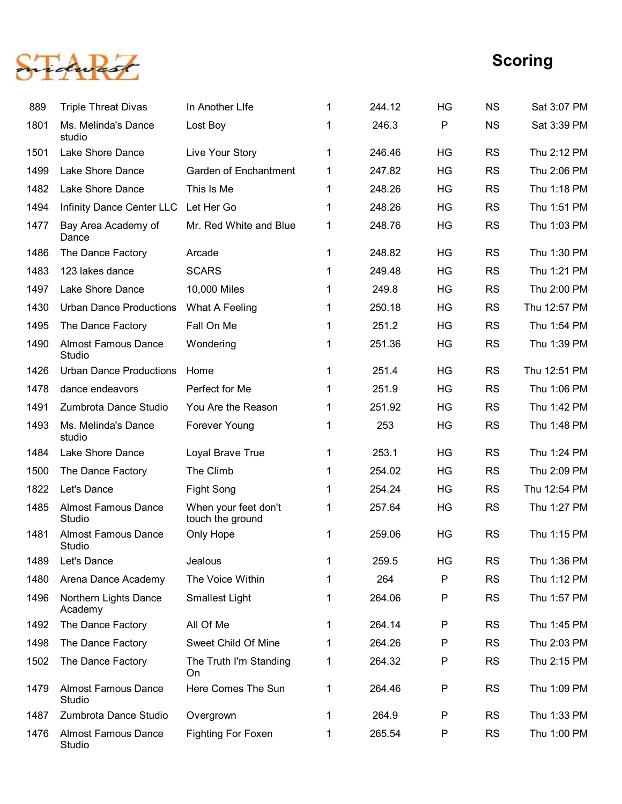

|      |                                      |                                          |              |        |           |           | <b>Scoring</b> |
|------|--------------------------------------|------------------------------------------|--------------|--------|-----------|-----------|----------------|
| 889  | <b>Triple Threat Divas</b>           | In Another Life                          | 1            | 244.12 | HG        | <b>NS</b> | Sat 3:07 PM    |
| 1801 | Ms. Melinda's Dance<br>studio        | Lost Boy                                 | 1            | 246.3  | ${\sf P}$ | <b>NS</b> | Sat 3:39 PM    |
| 1501 | Lake Shore Dance                     | Live Your Story                          | 1            | 246.46 | HG        | <b>RS</b> | Thu 2:12 PM    |
| 1499 | Lake Shore Dance                     | <b>Garden of Enchantment</b>             | $\mathbf{1}$ | 247.82 | HG        | <b>RS</b> | Thu 2:06 PM    |
| 1482 | Lake Shore Dance                     | This Is Me                               | $\mathbf{1}$ | 248.26 | HG        | <b>RS</b> | Thu 1:18 PM    |
| 1494 | Infinity Dance Center LLC            | Let Her Go                               | 1            | 248.26 | HG        | <b>RS</b> | Thu 1:51 PM    |
| 1477 | Bay Area Academy of<br>Dance         | Mr. Red White and Blue                   | $\mathbf{1}$ | 248.76 | HG        | <b>RS</b> | Thu 1:03 PM    |
| 1486 | The Dance Factory                    | Arcade                                   | -1           | 248.82 | HG        | <b>RS</b> | Thu 1:30 PM    |
| 1483 | 123 lakes dance                      | <b>SCARS</b>                             |              | 249.48 | HG        | <b>RS</b> | Thu 1:21 PM    |
| 1497 | Lake Shore Dance                     | 10,000 Miles                             |              | 249.8  | HG        | <b>RS</b> | Thu 2:00 PM    |
| 1430 | <b>Urban Dance Productions</b>       | What A Feeling                           |              | 250.18 | HG        | <b>RS</b> | Thu 12:57 PM   |
| 1495 | The Dance Factory                    | Fall On Me                               |              | 251.2  | HG        | <b>RS</b> | Thu 1:54 PM    |
| 1490 | <b>Almost Famous Dance</b><br>Studio | Wondering                                |              | 251.36 | HG        | <b>RS</b> | Thu 1:39 PM    |
| 1426 | <b>Urban Dance Productions</b>       | Home                                     | $\mathbf{1}$ | 251.4  | HG        | <b>RS</b> | Thu 12:51 PM   |
| 1478 | dance endeavors                      | Perfect for Me                           | $\mathbf 1$  | 251.9  | HG        | <b>RS</b> | Thu 1:06 PM    |
| 1491 | Zumbrota Dance Studio                | You Are the Reason                       |              | 251.92 | HG        | <b>RS</b> | Thu 1:42 PM    |
| 1493 | Ms. Melinda's Dance<br>studio        | Forever Young                            | 1            | 253    | HG        | <b>RS</b> | Thu 1:48 PM    |
| 1484 | Lake Shore Dance                     | Loyal Brave True                         | $\mathbf 1$  | 253.1  | HG        | <b>RS</b> | Thu 1:24 PM    |
| 1500 | The Dance Factory                    | The Climb                                |              | 254.02 | HG        | <b>RS</b> | Thu 2:09 PM    |
| 1822 | Let's Dance                          | Fight Song                               |              | 254.24 | HG        | <b>RS</b> | Thu 12:54 PM   |
| 1485 | <b>Almost Famous Dance</b><br>Studio | When your feet don't<br>touch the ground | $\mathbf{1}$ | 257.64 | HG        | <b>RS</b> | Thu 1:27 PM    |
| 1481 | <b>Almost Famous Dance</b><br>Studio | Only Hope                                | $\mathbf{1}$ | 259.06 | HG        | <b>RS</b> | Thu 1:15 PM    |
| 1489 | Let's Dance                          | Jealous                                  | -1           | 259.5  | HG        | <b>RS</b> | Thu 1:36 PM    |
| 1480 | Arena Dance Academy                  | The Voice Within                         |              | 264    | ${\sf P}$ | <b>RS</b> | Thu 1:12 PM    |
| 1496 | Northern Lights Dance<br>Academy     | <b>Smallest Light</b>                    |              | 264.06 | ${\sf P}$ | <b>RS</b> | Thu 1:57 PM    |
| 1492 | The Dance Factory                    | All Of Me                                | 1            | 264.14 | ${\sf P}$ | <b>RS</b> | Thu 1:45 PM    |
| 1498 | The Dance Factory                    | Sweet Child Of Mine                      | $\mathbf{1}$ | 264.26 | ${\sf P}$ | <b>RS</b> | Thu 2:03 PM    |
| 1502 | The Dance Factory                    | The Truth I'm Standing<br>On             | $\mathbf{1}$ | 264.32 | ${\sf P}$ | <b>RS</b> | Thu 2:15 PM    |
| 1479 | <b>Almost Famous Dance</b><br>Studio | Here Comes The Sun                       | $\mathbf{1}$ | 264.46 | ${\sf P}$ | <b>RS</b> | Thu 1:09 PM    |
| 1487 | Zumbrota Dance Studio                | Overgrown                                | $\mathbf 1$  | 264.9  | ${\sf P}$ | <b>RS</b> | Thu 1:33 PM    |
| 1476 | Almost Famous Dance<br>Studio        | <b>Fighting For Foxen</b>                | 1            | 265.54 | ${\sf P}$ | <b>RS</b> | Thu 1:00 PM    |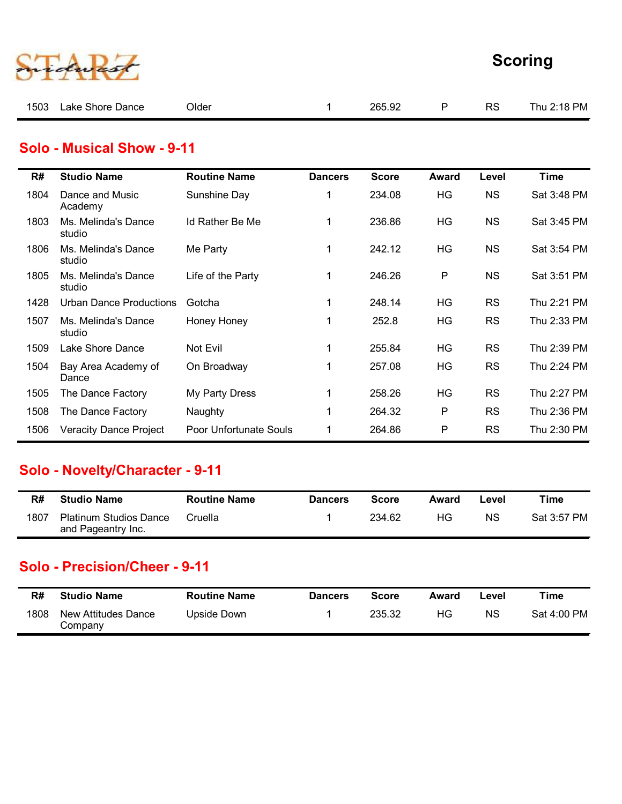| rdward |
|--------|
|        |

|       |                            |        |   |    | <b>Scoring</b> |
|-------|----------------------------|--------|---|----|----------------|
| Older | $\mathbf{1}$               | 265.92 | P | RS | Thu 2:18 PM    |
|       |                            |        |   |    |                |
|       | Solo - Musical Show - 9-11 |        |   |    |                |

#### Solo - Musical Show - 9-11

|      |                                                     |                        |                |              |              |           | <b>Scoring</b> |
|------|-----------------------------------------------------|------------------------|----------------|--------------|--------------|-----------|----------------|
| 1503 | Lake Shore Dance                                    | Older                  | $\mathbf{1}$   | 265.92       | P            | <b>RS</b> | Thu 2:18 PM    |
|      | <b>Solo - Musical Show - 9-11</b>                   |                        |                |              |              |           |                |
| R#   | <b>Studio Name</b>                                  | <b>Routine Name</b>    | <b>Dancers</b> | <b>Score</b> | <b>Award</b> | Level     | <b>Time</b>    |
| 1804 | Dance and Music<br>Academy                          | Sunshine Day           | 1              | 234.08       | HG           | <b>NS</b> | Sat 3:48 PM    |
| 1803 | Ms. Melinda's Dance<br>studio                       | Id Rather Be Me        | $\mathbf{1}$   | 236.86       | HG           | <b>NS</b> | Sat 3:45 PM    |
| 1806 | Ms. Melinda's Dance<br>studio                       | Me Party               | $\mathbf{1}$   | 242.12       | HG           | <b>NS</b> | Sat 3:54 PM    |
| 1805 | Ms. Melinda's Dance<br>studio                       | Life of the Party      | $\mathbf{1}$   | 246.26       | P            | <b>NS</b> | Sat 3:51 PM    |
| 1428 | <b>Urban Dance Productions</b>                      | Gotcha                 | $\mathbf{1}$   | 248.14       | HG           | <b>RS</b> | Thu 2:21 PM    |
| 1507 | Ms. Melinda's Dance<br>studio                       | Honey Honey            | 1              | 252.8        | HG           | <b>RS</b> | Thu 2:33 PM    |
| 1509 | Lake Shore Dance                                    | Not Evil               | $\mathbf{1}$   | 255.84       | HG           | <b>RS</b> | Thu 2:39 PM    |
| 1504 | Bay Area Academy of<br>Dance                        | On Broadway            | $\mathbf{1}$   | 257.08       | HG           | <b>RS</b> | Thu 2:24 PM    |
| 1505 | The Dance Factory                                   | My Party Dress         | $\mathbf{1}$   | 258.26       | HG           | <b>RS</b> | Thu 2:27 PM    |
| 1508 | The Dance Factory                                   | Naughty                | $\mathbf 1$    | 264.32       | P            | <b>RS</b> | Thu 2:36 PM    |
| 1506 | <b>Veracity Dance Project</b>                       | Poor Unfortunate Souls | $\mathbf 1$    | 264.86       | P            | <b>RS</b> | Thu 2:30 PM    |
|      | Solo - Novelty/Character - 9-11                     |                        |                |              |              |           |                |
| R#   | <b>Studio Name</b>                                  | <b>Routine Name</b>    | <b>Dancers</b> | <b>Score</b> | <b>Award</b> | Level     | <b>Time</b>    |
| 1807 | <b>Platinum Studios Dance</b><br>and Pageantry Inc. | Cruella                | $\mathbf 1$    | 234.62       | HG           | <b>NS</b> | Sat 3:57 PM    |
|      | <b>Solo - Precision/Cheer - 9-11</b>                |                        |                |              |              |           |                |
| R#   | <b>Studio Name</b>                                  | <b>Routine Name</b>    | <b>Dancers</b> | <b>Score</b> | <b>Award</b> | Level     | <b>Time</b>    |
| 1808 | New Attitudes Dance<br>Company                      | <b>Upside Down</b>     | 1              | 235.32       | HG           | <b>NS</b> | Sat 4:00 PM    |

#### Solo - Novelty/Character - 9-11

| R#   | <b>Studio Name</b>                                  | <b>Routine Name</b> | <b>Dancers</b> | Score  | Award | Level     | Time        |
|------|-----------------------------------------------------|---------------------|----------------|--------|-------|-----------|-------------|
| 1807 | <b>Platinum Studios Dance</b><br>and Pageantry Inc. | Cruella             |                | 234.62 | HG.   | <b>NS</b> | Sat 3:57 PM |

#### Solo - Precision/Cheer - 9-11

| R#   | <b>Studio Name</b>             | <b>Routine Name</b> | <b>Dancers</b> | Score  | Award | ∟evel | Time        |
|------|--------------------------------|---------------------|----------------|--------|-------|-------|-------------|
| 1808 | New Attitudes Dance<br>Company | Upside Down         |                | 235.32 | ΗG    | ΝS    | Sat 4:00 PM |